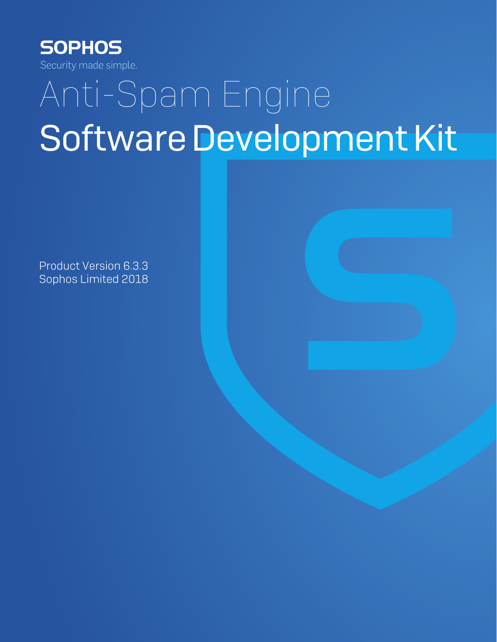

# Anti-Spam Engine Software Development Kit

Product Version 6.3.3 Sophos Limited 2018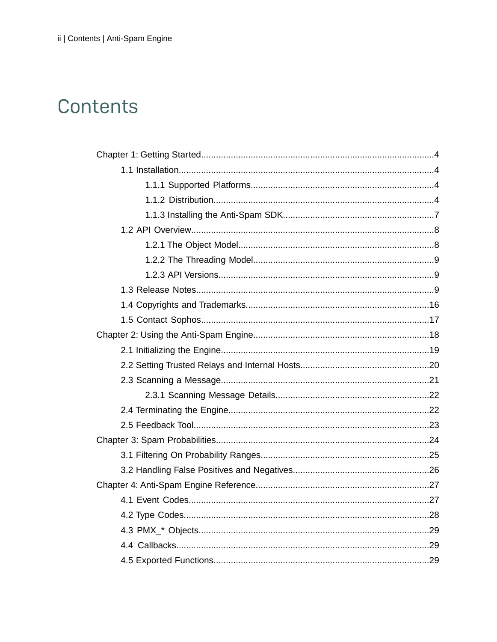# Contents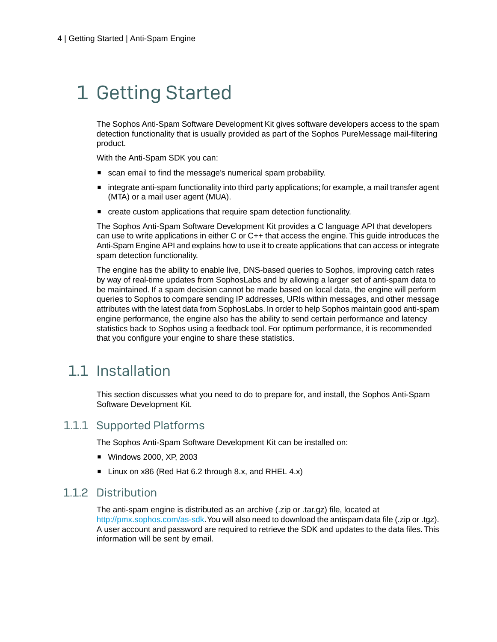# <span id="page-3-0"></span>1 Getting Started

The Sophos Anti-Spam Software Development Kit gives software developers access to the spam detection functionality that is usually provided as part of the Sophos PureMessage mail-filtering product.

With the Anti-Spam SDK you can:

- scan email to find the message's numerical spam probability.
- integrate anti-spam functionality into third party applications; for example, a mail transfer agent (MTA) or a mail user agent (MUA).
- create custom applications that require spam detection functionality.

The Sophos Anti-Spam Software Development Kit provides a C language API that developers can use to write applications in either C or C++ that access the engine.This guide introduces the Anti-Spam Engine API and explains how to use it to create applications that can access or integrate spam detection functionality.

The engine has the ability to enable live, DNS-based queries to Sophos, improving catch rates by way of real-time updates from SophosLabs and by allowing a larger set of anti-spam data to be maintained. If a spam decision cannot be made based on local data, the engine will perform queries to Sophos to compare sending IP addresses, URIs within messages, and other message attributes with the latest data from SophosLabs. In order to help Sophos maintain good anti-spam engine performance, the engine also has the ability to send certain performance and latency statistics back to Sophos using a feedback tool. For optimum performance, it is recommended that you configure your engine to share these statistics.

### <span id="page-3-2"></span><span id="page-3-1"></span>1.1 Installation

This section discusses what you need to do to prepare for, and install, the Sophos Anti-Spam Software Development Kit.

#### <span id="page-3-3"></span>1.1.1 Supported Platforms

The Sophos Anti-Spam Software Development Kit can be installed on:

- Windows 2000, XP, 2003
- Linux on x86 (Red Hat 6.2 through 8.x, and RHEL 4.x)

#### 1.1.2 Distribution

The anti-spam engine is distributed as an archive (.zip or .tar.gz) file, located at [http://pmx.sophos.com/as-sdk.](http://pmx.sophos.com/as-sdk) You will also need to download the antispam data file (.zip or .tgz). A user account and password are required to retrieve the SDK and updates to the data files.This information will be sent by email.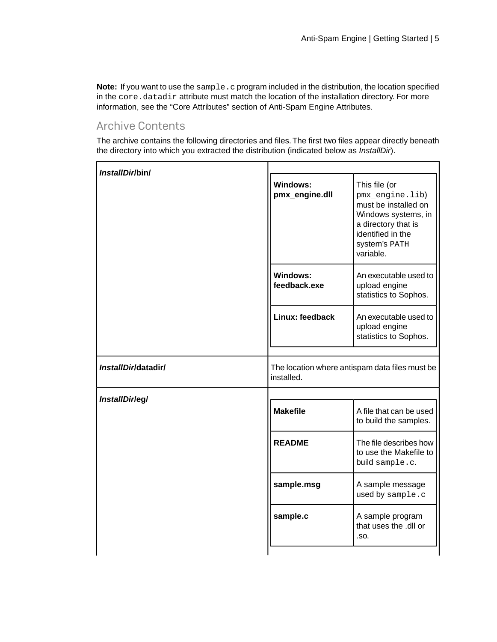**Note:** If you want to use the sample.c program included in the distribution, the location specified in the core.datadir attribute must match the location of the installation directory. For more information, see the "Core Attributes" section of Anti-Spam Engine Attributes.

#### Archive Contents

The archive contains the following directories and files.The first two files appear directly beneath the directory into which you extracted the distribution (indicated below as *InstallDir*).

| InstallDirlbin/     |                                                              |                                                                                                                                                           |
|---------------------|--------------------------------------------------------------|-----------------------------------------------------------------------------------------------------------------------------------------------------------|
|                     | <b>Windows:</b><br>pmx_engine.dll                            | This file (or<br>pmx_engine.lib)<br>must be installed on<br>Windows systems, in<br>a directory that is<br>identified in the<br>System's PATH<br>variable. |
|                     | <b>Windows:</b><br>feedback.exe                              | An executable used to<br>upload engine<br>statistics to Sophos.                                                                                           |
|                     | Linux: feedback                                              | An executable used to<br>upload engine<br>statistics to Sophos.                                                                                           |
| InstallDirldatadir/ | The location where antispam data files must be<br>installed. |                                                                                                                                                           |
| InstallDirleg/      | <b>Makefile</b>                                              | A file that can be used<br>to build the samples.                                                                                                          |
|                     | <b>README</b>                                                | The file describes how<br>to use the Makefile to<br>build sample.c.                                                                                       |
|                     | sample.msg                                                   | A sample message<br>used by sample.c                                                                                                                      |
|                     | sample.c                                                     | A sample program<br>that uses the .dll or<br>.SO.                                                                                                         |
|                     |                                                              |                                                                                                                                                           |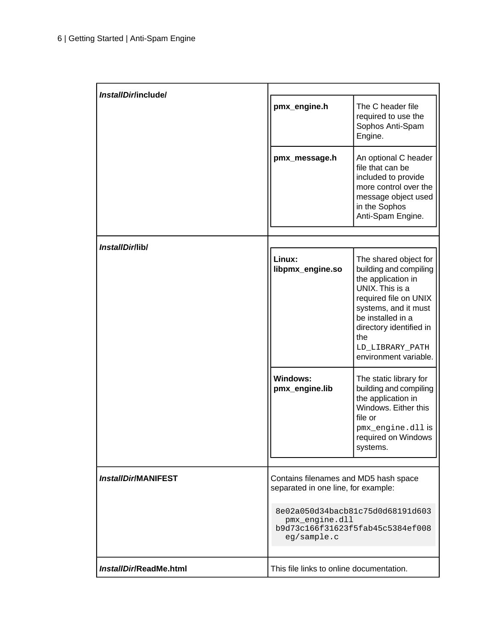| InstallDirlinclude/        |                                                                      |                                                                                                                                                                                                                                              |
|----------------------------|----------------------------------------------------------------------|----------------------------------------------------------------------------------------------------------------------------------------------------------------------------------------------------------------------------------------------|
|                            | pmx_engine.h                                                         | The C header file<br>required to use the<br>Sophos Anti-Spam<br>Engine.                                                                                                                                                                      |
|                            | pmx_message.h                                                        | An optional C header<br>file that can be<br>included to provide<br>more control over the<br>message object used<br>in the Sophos<br>Anti-Spam Engine.                                                                                        |
| InstallDir/lib/            |                                                                      |                                                                                                                                                                                                                                              |
|                            | Linux:<br>libpmx_engine.so                                           | The shared object for<br>building and compiling<br>the application in<br>UNIX. This is a<br>required file on UNIX<br>systems, and it must<br>be installed in a<br>directory identified in<br>the<br>LD_LIBRARY_PATH<br>environment variable. |
|                            | Windows:<br>pmx_engine.lib                                           | The static library for<br>building and compiling<br>the application in<br>Windows. Either this<br>file or<br>pmx_engine.dll is<br>required on Windows<br>systems.                                                                            |
| <b>InstallDir/MANIFEST</b> | Contains filenames and MD5 hash space                                |                                                                                                                                                                                                                                              |
|                            | separated in one line, for example:<br>pmx_engine.dll<br>eg/sample.c | 8e02a050d34bacb81c75d0d68191d603<br>b9d73c166f31623f5fab45c5384ef008                                                                                                                                                                         |
| InstallDir/ReadMe.html     | This file links to online documentation.                             |                                                                                                                                                                                                                                              |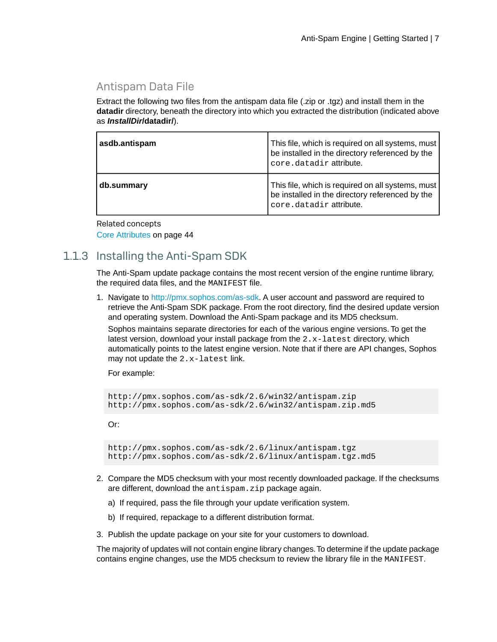#### Antispam Data File

Extract the following two files from the antispam data file (.zip or .tgz) and install them in the **datadir** directory, beneath the directory into which you extracted the distribution (indicated above as *InstallDir***/datadir/**).

| asdb.antispam | This file, which is required on all systems, must<br>be installed in the directory referenced by the<br>core.datadir attribute. |
|---------------|---------------------------------------------------------------------------------------------------------------------------------|
| db.summary    | This file, which is required on all systems, must<br>be installed in the directory referenced by the<br>core.datadir attribute. |

Related concepts [Core Attributes](#page-43-1) on page 44

#### <span id="page-6-0"></span>1.1.3 Installing the Anti-Spam SDK

The Anti-Spam update package contains the most recent version of the engine runtime library, the required data files, and the MANIFEST file.

1. Navigate to<http://pmx.sophos.com/as-sdk>. A user account and password are required to retrieve the Anti-Spam SDK package. From the root directory, find the desired update version and operating system. Download the Anti-Spam package and its MD5 checksum.

Sophos maintains separate directories for each of the various engine versions. To get the latest version, download your install package from the  $2.x$ -latest directory, which automatically points to the latest engine version. Note that if there are API changes, Sophos may not update the 2.x-latest link.

For example:

```
http://pmx.sophos.com/as-sdk/2.6/win32/antispam.zip
http://pmx.sophos.com/as-sdk/2.6/win32/antispam.zip.md5
```
Or:

```
http://pmx.sophos.com/as-sdk/2.6/linux/antispam.tgz
http://pmx.sophos.com/as-sdk/2.6/linux/antispam.tgz.md5
```
- 2. Compare the MD5 checksum with your most recently downloaded package. If the checksums are different, download the antispam.zip package again.
	- a) If required, pass the file through your update verification system.
	- b) If required, repackage to a different distribution format.
- 3. Publish the update package on your site for your customers to download.

The majority of updates will not contain engine library changes.To determine if the update package contains engine changes, use the MD5 checksum to review the library file in the MANIFEST.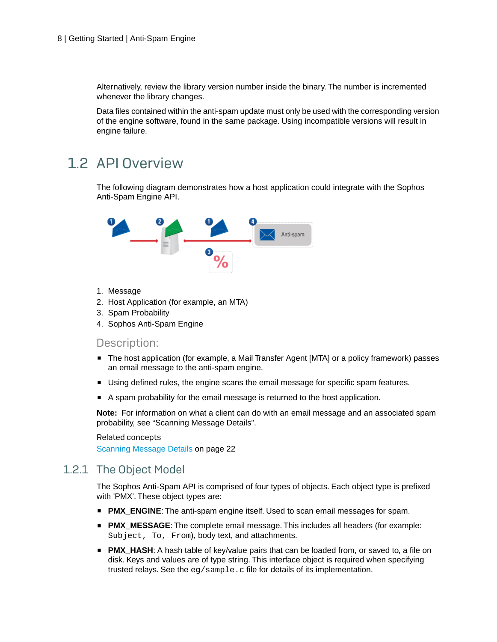Alternatively, review the library version number inside the binary. The number is incremented whenever the library changes.

Data files contained within the anti-spam update must only be used with the corresponding version of the engine software, found in the same package. Using incompatible versions will result in engine failure.

### <span id="page-7-0"></span>1.2 API Overview

The following diagram demonstrates how a host application could integrate with the Sophos Anti-Spam Engine API.



- 1. Message
- 2. Host Application (for example, an MTA)
- 3. Spam Probability
- 4. Sophos Anti-Spam Engine

#### Description:

- The host application (for example, a Mail Transfer Agent [MTA] or a policy framework) passes an email message to the anti-spam engine.
- Using defined rules, the engine scans the email message for specific spam features.
- A spam probability for the email message is returned to the host application.

<span id="page-7-1"></span>**Note:** For information on what a client can do with an email message and an associated spam probability, see "Scanning Message Details".

Related concepts

[Scanning Message Details](#page-21-0) on page 22

#### 1.2.1 The Object Model

The Sophos Anti-Spam API is comprised of four types of objects. Each object type is prefixed with 'PMX'. These object types are:

- **PMX\_ENGINE:** The anti-spam engine itself. Used to scan email messages for spam.
- **PMX\_MESSAGE**: The complete email message. This includes all headers (for example: Subject, To, From), body text, and attachments.
- **PMX HASH:** A hash table of key/value pairs that can be loaded from, or saved to, a file on disk. Keys and values are of type string. This interface object is required when specifying trusted relays. See the eg/sample.c file for details of its implementation.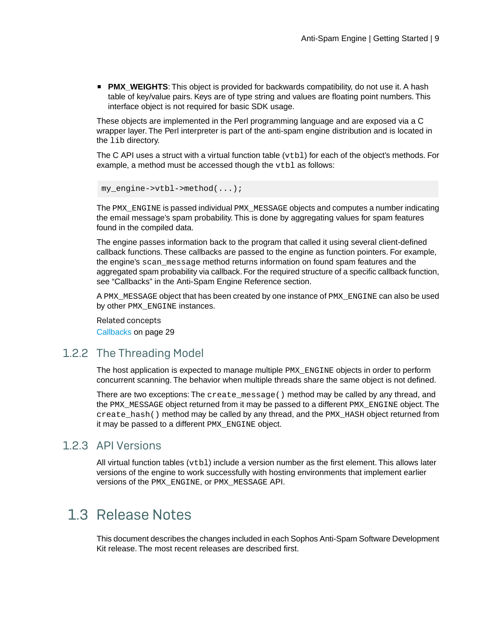■ **PMX** WEIGHTS: This object is provided for backwards compatibility, do not use it. A hash table of key/value pairs. Keys are of type string and values are floating point numbers. This interface object is not required for basic SDK usage.

These objects are implemented in the Perl programming language and are exposed via a C wrapper layer. The Perl interpreter is part of the anti-spam engine distribution and is located in the lib directory.

The C API uses a struct with a virtual function table  $(vtb1)$  for each of the object's methods. For example, a method must be accessed though the  $vcb1$  as follows:

```
my engine->vtbl->method(\dots);
```
The PMX\_ENGINE is passed individual PMX\_MESSAGE objects and computes a number indicating the email message's spam probability. This is done by aggregating values for spam features found in the compiled data.

The engine passes information back to the program that called it using several client-defined callback functions. These callbacks are passed to the engine as function pointers. For example, the engine's scan\_message method returns information on found spam features and the aggregated spam probability via callback. For the required structure of a specific callback function, see "Callbacks" in the Anti-Spam Engine Reference section.

A PMX\_MESSAGE object that has been created by one instance of PMX\_ENGINE can also be used by other PMX\_ENGINE instances.

Related concepts [Callbacks](#page-28-1) on page 29

#### <span id="page-8-0"></span>1.2.2 The Threading Model

The host application is expected to manage multiple PMX\_ENGINE objects in order to perform concurrent scanning. The behavior when multiple threads share the same object is not defined.

<span id="page-8-1"></span>There are two exceptions: The create message() method may be called by any thread, and the PMX\_MESSAGE object returned from it may be passed to a different PMX\_ENGINE object.The create\_hash() method may be called by any thread, and the PMX\_HASH object returned from it may be passed to a different PMX\_ENGINE object.

#### <span id="page-8-2"></span>1.2.3 API Versions

All virtual function tables  $(vcb1)$  include a version number as the first element. This allows later versions of the engine to work successfully with hosting environments that implement earlier versions of the PMX\_ENGINE, or PMX\_MESSAGE API.

### 1.3 Release Notes

This document describes the changes included in each Sophos Anti-Spam Software Development Kit release. The most recent releases are described first.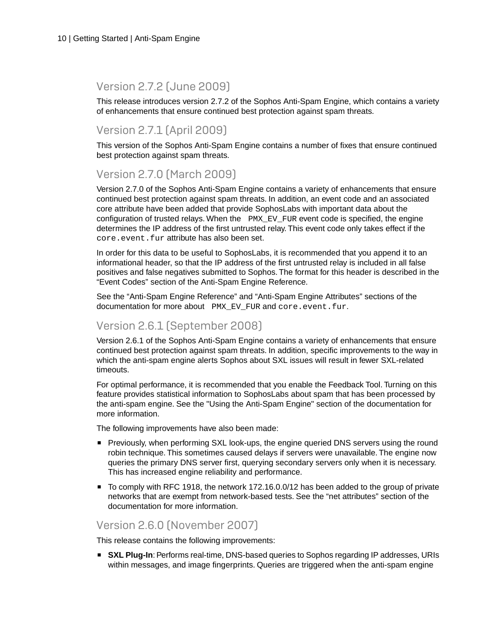#### Version 2.7.2 (June 2009)

This release introduces version 2.7.2 of the Sophos Anti-Spam Engine, which contains a variety of enhancements that ensure continued best protection against spam threats.

#### Version 2.7.1 (April 2009)

This version of the Sophos Anti-Spam Engine contains a number of fixes that ensure continued best protection against spam threats.

#### Version 2.7.0 (March 2009)

Version 2.7.0 of the Sophos Anti-Spam Engine contains a variety of enhancements that ensure continued best protection against spam threats. In addition, an event code and an associated core attribute have been added that provide SophosLabs with important data about the configuration of trusted relays. When the PMX\_EV\_FUR event code is specified, the engine determines the IP address of the first untrusted relay. This event code only takes effect if the core.event.fur attribute has also been set.

In order for this data to be useful to SophosLabs, it is recommended that you append it to an informational header, so that the IP address of the first untrusted relay is included in all false positives and false negatives submitted to Sophos. The format for this header is described in the "Event Codes" section of the Anti-Spam Engine Reference.

See the "Anti-Spam Engine Reference" and "Anti-Spam Engine Attributes" sections of the documentation for more about PMX EV FUR and core.event.fur.

#### Version 2.6.1 (September 2008)

Version 2.6.1 of the Sophos Anti-Spam Engine contains a variety of enhancements that ensure continued best protection against spam threats. In addition, specific improvements to the way in which the anti-spam engine alerts Sophos about SXL issues will result in fewer SXL-related timeouts.

For optimal performance, it is recommended that you enable the Feedback Tool. Turning on this feature provides statistical information to SophosLabs about spam that has been processed by the anti-spam engine. See the "Using the Anti-Spam Engine" section of the documentation for more information.

The following improvements have also been made:

- Previously, when performing SXL look-ups, the engine queried DNS servers using the round robin technique. This sometimes caused delays if servers were unavailable. The engine now queries the primary DNS server first, querying secondary servers only when it is necessary. This has increased engine reliability and performance.
- To comply with RFC 1918, the network 172.16.0.0/12 has been added to the group of private networks that are exempt from network-based tests. See the "net attributes" section of the documentation for more information.

#### Version 2.6.0 (November 2007)

This release contains the following improvements:

■ **SXL Plug-In**: Performs real-time, DNS-based queries to Sophos regarding IP addresses, URIs within messages, and image fingerprints. Queries are triggered when the anti-spam engine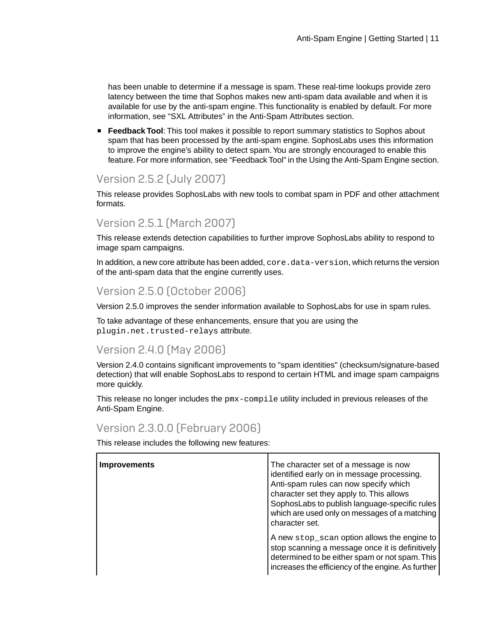has been unable to determine if a message is spam. These real-time lookups provide zero latency between the time that Sophos makes new anti-spam data available and when it is available for use by the anti-spam engine. This functionality is enabled by default. For more information, see "SXL Attributes" in the Anti-Spam Attributes section.

**Feedback Tool:** This tool makes it possible to report summary statistics to Sophos about spam that has been processed by the anti-spam engine. SophosLabs uses this information to improve the engine's ability to detect spam.You are strongly encouraged to enable this feature. For more information, see "Feedback Tool" in the Using the Anti-Spam Engine section.

#### Version 2.5.2 (July 2007)

This release provides SophosLabs with new tools to combat spam in PDF and other attachment formats.

#### Version 2.5.1 (March 2007)

This release extends detection capabilities to further improve SophosLabs ability to respond to image spam campaigns.

In addition, a new core attribute has been added, core.data-version, which returns the version of the anti-spam data that the engine currently uses.

#### Version 2.5.0 (October 2006)

Version 2.5.0 improves the sender information available to SophosLabs for use in spam rules.

To take advantage of these enhancements, ensure that you are using the plugin.net.trusted-relays attribute.

#### Version 2.4.0 (May 2006)

Version 2.4.0 contains significant improvements to "spam identities" (checksum/signature-based detection) that will enable SophosLabs to respond to certain HTML and image spam campaigns more quickly.

This release no longer includes the pmx-compile utility included in previous releases of the Anti-Spam Engine.

#### Version 2.3.0.0 (February 2006)

| <b>Improvements</b> | The character set of a message is now<br>identified early on in message processing.<br>Anti-spam rules can now specify which<br>character set they apply to. This allows<br>SophosLabs to publish language-specific rules<br>which are used only on messages of a matching<br>character set. |
|---------------------|----------------------------------------------------------------------------------------------------------------------------------------------------------------------------------------------------------------------------------------------------------------------------------------------|
|                     | A new stop_scan option allows the engine to<br>stop scanning a message once it is definitively<br>determined to be either spam or not spam. This<br>increases the efficiency of the engine. As further                                                                                       |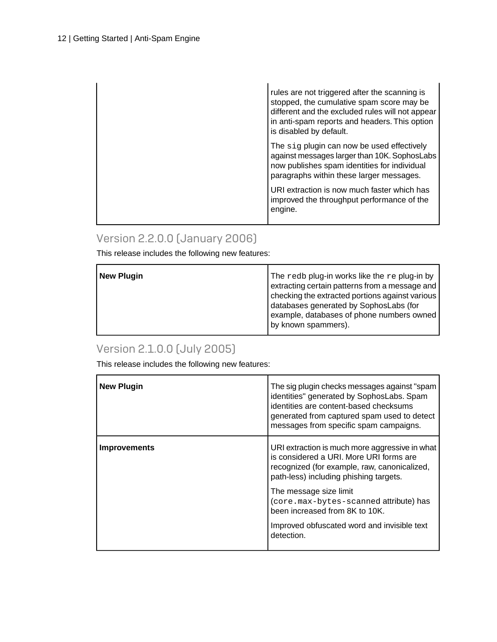| rules are not triggered after the scanning is<br>stopped, the cumulative spam score may be<br>different and the excluded rules will not appear<br>in anti-spam reports and headers. This option<br>is disabled by default. |
|----------------------------------------------------------------------------------------------------------------------------------------------------------------------------------------------------------------------------|
| The sig plugin can now be used effectively<br>against messages larger than 10K. SophosLabs<br>now publishes spam identities for individual<br>paragraphs within these larger messages.                                     |
| URI extraction is now much faster which has<br>improved the throughput performance of the<br>engine.                                                                                                                       |

#### Version 2.2.0.0 (January 2006)

This release includes the following new features:

| <b>New Plugin</b> | The redb plug-in works like the re plug-in by   |
|-------------------|-------------------------------------------------|
|                   | extracting certain patterns from a message and  |
|                   | checking the extracted portions against various |
|                   | databases generated by SophosLabs (for          |
|                   | example, databases of phone numbers owned       |
|                   | by known spammers).                             |
|                   |                                                 |

### Version 2.1.0.0 (July 2005)

| <b>New Plugin</b>   | The sig plugin checks messages against "spam<br>identities" generated by SophosLabs. Spam<br>identities are content-based checksums<br>generated from captured spam used to detect<br>messages from specific spam campaigns. |
|---------------------|------------------------------------------------------------------------------------------------------------------------------------------------------------------------------------------------------------------------------|
| <b>Improvements</b> | URI extraction is much more aggressive in what<br>is considered a URI. More URI forms are<br>recognized (for example, raw, canonicalized,<br>path-less) including phishing targets.                                          |
|                     | The message size limit<br>(core.max-bytes-scanned attribute) has<br>been increased from 8K to 10K.                                                                                                                           |
|                     | Improved obfuscated word and invisible text<br>detection.                                                                                                                                                                    |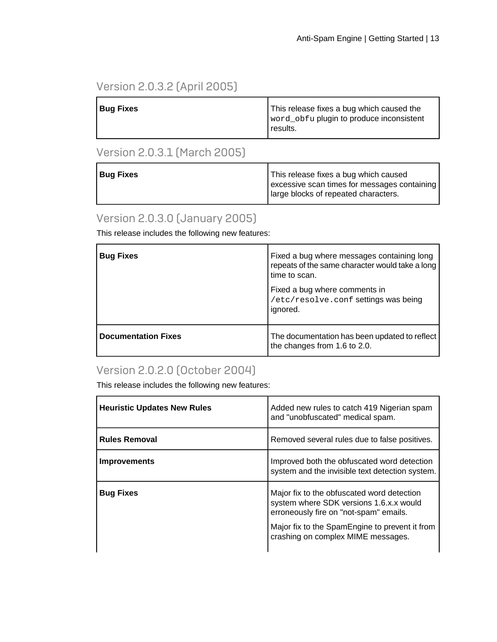### Version 2.0.3.2 (April 2005)

| <b>Bug Fixes</b> | This release fixes a bug which caused the<br>word_obfu plugin to produce inconsistent<br>I results. |
|------------------|-----------------------------------------------------------------------------------------------------|
|------------------|-----------------------------------------------------------------------------------------------------|

#### Version 2.0.3.1 (March 2005)

| <sup>I</sup> Bug Fixes | This release fixes a bug which caused<br>excessive scan times for messages containing<br>Iarge blocks of repeated characters. |
|------------------------|-------------------------------------------------------------------------------------------------------------------------------|
|                        |                                                                                                                               |

#### Version 2.0.3.0 (January 2005)

This release includes the following new features:

| <b>Bug Fixes</b>           | Fixed a bug where messages containing long<br>repeats of the same character would take a long<br>time to scan.<br>Fixed a bug where comments in<br>/etc/resolve.conf settings was being<br>ignored. |
|----------------------------|-----------------------------------------------------------------------------------------------------------------------------------------------------------------------------------------------------|
| <b>Documentation Fixes</b> | The documentation has been updated to reflect<br>the changes from 1.6 to 2.0.                                                                                                                       |

#### Version 2.0.2.0 (October 2004)

| <b>Heuristic Updates New Rules</b> | Added new rules to catch 419 Nigerian spam<br>and "unobfuscated" medical spam.                                                                                                                                          |
|------------------------------------|-------------------------------------------------------------------------------------------------------------------------------------------------------------------------------------------------------------------------|
| <b>Rules Removal</b>               | Removed several rules due to false positives.                                                                                                                                                                           |
| <b>Improvements</b>                | Improved both the obfuscated word detection<br>system and the invisible text detection system.                                                                                                                          |
| <b>Bug Fixes</b>                   | Major fix to the obfuscated word detection<br>system where SDK versions 1.6.x.x would<br>erroneously fire on "not-spam" emails.<br>Major fix to the SpamEngine to prevent it from<br>crashing on complex MIME messages. |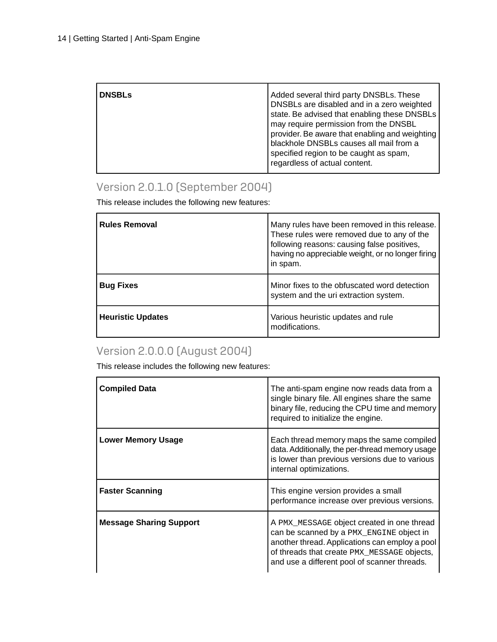| <b>DNSBLs</b> | Added several third party DNSBLs. These<br>DNSBLs are disabled and in a zero weighted<br>state. Be advised that enabling these DNSBLs<br>may require permission from the DNSBL |
|---------------|--------------------------------------------------------------------------------------------------------------------------------------------------------------------------------|
|               | provider. Be aware that enabling and weighting<br>blackhole DNSBLs causes all mail from a<br>specified region to be caught as spam,<br>regardless of actual content.           |

### Version 2.0.1.0 (September 2004)

This release includes the following new features:

| <b>Rules Removal</b>     | Many rules have been removed in this release.<br>These rules were removed due to any of the<br>following reasons: causing false positives,<br>having no appreciable weight, or no longer firing<br>in spam. |
|--------------------------|-------------------------------------------------------------------------------------------------------------------------------------------------------------------------------------------------------------|
| <b>Bug Fixes</b>         | Minor fixes to the obfuscated word detection<br>system and the uri extraction system.                                                                                                                       |
| <b>Heuristic Updates</b> | Various heuristic updates and rule<br>modifications.                                                                                                                                                        |

### Version 2.0.0.0 (August 2004)

| <b>Compiled Data</b>           | The anti-spam engine now reads data from a<br>single binary file. All engines share the same<br>binary file, reducing the CPU time and memory<br>required to initialize the engine.                                                     |
|--------------------------------|-----------------------------------------------------------------------------------------------------------------------------------------------------------------------------------------------------------------------------------------|
| <b>Lower Memory Usage</b>      | Each thread memory maps the same compiled<br>data. Additionally, the per-thread memory usage<br>is lower than previous versions due to various<br>internal optimizations.                                                               |
| <b>Faster Scanning</b>         | This engine version provides a small<br>performance increase over previous versions.                                                                                                                                                    |
| <b>Message Sharing Support</b> | A PMX_MESSAGE object created in one thread<br>can be scanned by a PMX_ENGINE object in<br>another thread. Applications can employ a pool<br>of threads that create PMX_MESSAGE objects,<br>and use a different pool of scanner threads. |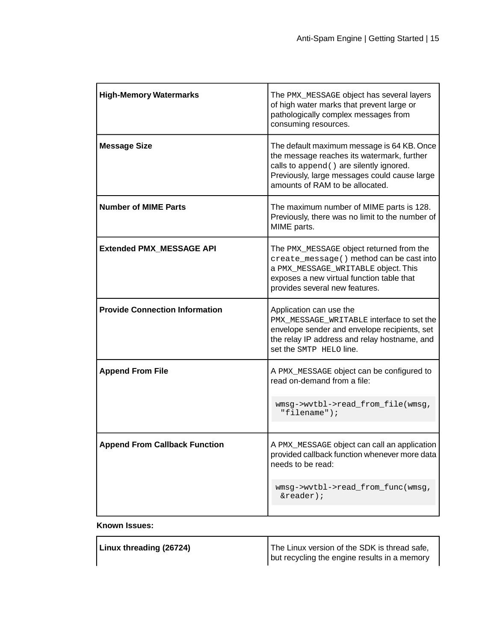| <b>High-Memory Watermarks</b>         | The PMX_MESSAGE object has several layers<br>of high water marks that prevent large or<br>pathologically complex messages from<br>consuming resources.                                                                  |
|---------------------------------------|-------------------------------------------------------------------------------------------------------------------------------------------------------------------------------------------------------------------------|
| <b>Message Size</b>                   | The default maximum message is 64 KB. Once<br>the message reaches its watermark, further<br>calls to append () are silently ignored.<br>Previously, large messages could cause large<br>amounts of RAM to be allocated. |
| <b>Number of MIME Parts</b>           | The maximum number of MIME parts is 128.<br>Previously, there was no limit to the number of<br>MIME parts.                                                                                                              |
| <b>Extended PMX MESSAGE API</b>       | The PMX_MESSAGE object returned from the<br>create_message() method can be cast into<br>a PMX_MESSAGE_WRITABLE object. This<br>exposes a new virtual function table that<br>provides several new features.              |
| <b>Provide Connection Information</b> | Application can use the<br>PMX_MESSAGE_WRITABLE interface to set the<br>envelope sender and envelope recipients, set<br>the relay IP address and relay hostname, and<br>set the SMTP HELO line.                         |
| <b>Append From File</b>               | A PMX_MESSAGE object can be configured to<br>read on-demand from a file:                                                                                                                                                |
|                                       | wmsg->wvtbl->read_from_file(wmsg,<br>"filename");                                                                                                                                                                       |
| <b>Append From Callback Function</b>  | A PMX MESSAGE object can call an application<br>provided callback function whenever more data<br>needs to be read:                                                                                                      |
|                                       | wmsg->wvtbl->read_from_func(wmsg,<br>$\&\text{reader})$ ;                                                                                                                                                               |

#### **Known Issues:**

| The Linux version of the SDK is thread safe,<br>but recycling the engine results in a memory | Linux threading (26724) |  |
|----------------------------------------------------------------------------------------------|-------------------------|--|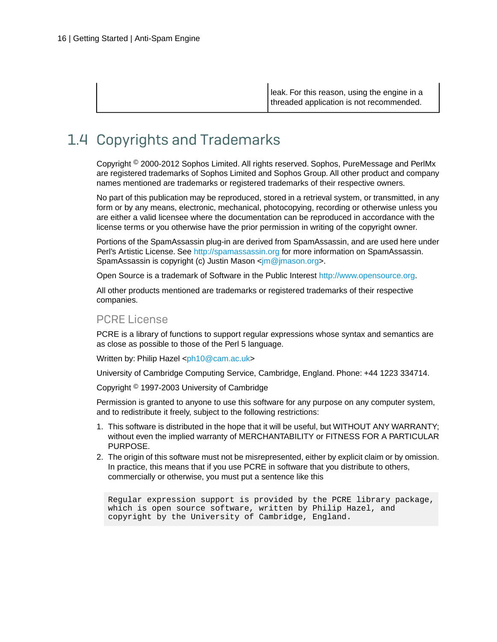leak. For this reason, using the engine in a threaded application is not recommended.

### <span id="page-15-0"></span>1.4 Copyrights and Trademarks

Copyright © 2000-2012 Sophos Limited. All rights reserved. Sophos, PureMessage and PerlMx are registered trademarks of Sophos Limited and Sophos Group. All other product and company names mentioned are trademarks or registered trademarks of their respective owners.

No part of this publication may be reproduced, stored in a retrieval system, or transmitted, in any form or by any means, electronic, mechanical, photocopying, recording or otherwise unless you are either a valid licensee where the documentation can be reproduced in accordance with the license terms or you otherwise have the prior permission in writing of the copyright owner.

Portions of the SpamAssassin plug-in are derived from SpamAssassin, and are used here under Perl's Artistic License. See<http://spamassassin.org>for more information on SpamAssassin. SpamAssassin is copyright (c) Justin Mason <[jm@jmason.org](mailto:jm@jmason.org)>.

Open Source is a trademark of Software in the Public Interest [http://www.opensource.org.](http://www.opensource.org)

All other products mentioned are trademarks or registered trademarks of their respective companies.

#### PCRE License

PCRE is a library of functions to support regular expressions whose syntax and semantics are as close as possible to those of the Perl 5 language.

Written by: Philip Hazel [<ph10@cam.ac.uk](mailto:ph10@cam.ac.uk)>

University of Cambridge Computing Service, Cambridge, England. Phone: +44 1223 334714.

Copyright © 1997-2003 University of Cambridge

Permission is granted to anyone to use this software for any purpose on any computer system, and to redistribute it freely, subject to the following restrictions:

- 1. This software is distributed in the hope that it will be useful, but WITHOUT ANY WARRANTY; without even the implied warranty of MERCHANTABILITY or FITNESS FOR A PARTICULAR PURPOSE.
- 2. The origin of this software must not be misrepresented, either by explicit claim or by omission. In practice, this means that if you use PCRE in software that you distribute to others, commercially or otherwise, you must put a sentence like this

Regular expression support is provided by the PCRE library package, which is open source software, written by Philip Hazel, and copyright by the University of Cambridge, England.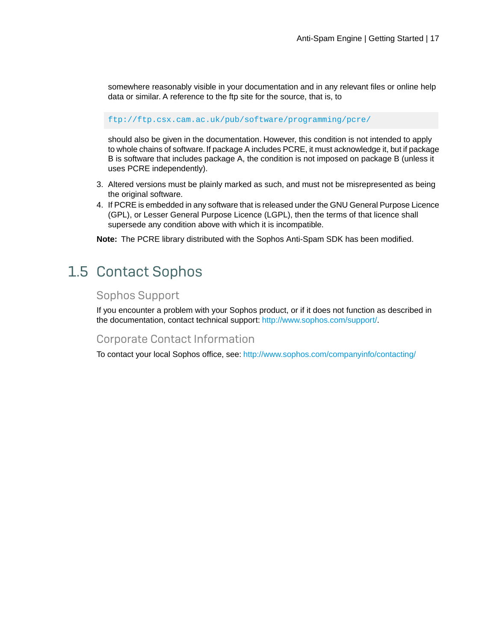somewhere reasonably visible in your documentation and in any relevant files or online help data or similar. A reference to the ftp site for the source, that is, to

<ftp://ftp.csx.cam.ac.uk/pub/software/programming/pcre/>

should also be given in the documentation. However, this condition is not intended to apply to whole chains of software. If package A includes PCRE, it must acknowledge it, but if package B is software that includes package A, the condition is not imposed on package B (unless it uses PCRE independently).

- 3. Altered versions must be plainly marked as such, and must not be misrepresented as being the original software.
- 4. If PCRE is embedded in any software that is released under the GNU General Purpose Licence (GPL), or Lesser General Purpose Licence (LGPL), then the terms of that licence shall supersede any condition above with which it is incompatible.

**Note:** The PCRE library distributed with the Sophos Anti-Spam SDK has been modified.

### <span id="page-16-0"></span>1.5 Contact Sophos

#### Sophos Support

If you encounter a problem with your Sophos product, or if it does not function as described in the documentation, contact technical support: [http://www.sophos.com/support/.](http://www.sophos.com/support/)

#### Corporate Contact Information

To contact your local Sophos office, see: <http://www.sophos.com/companyinfo/contacting/>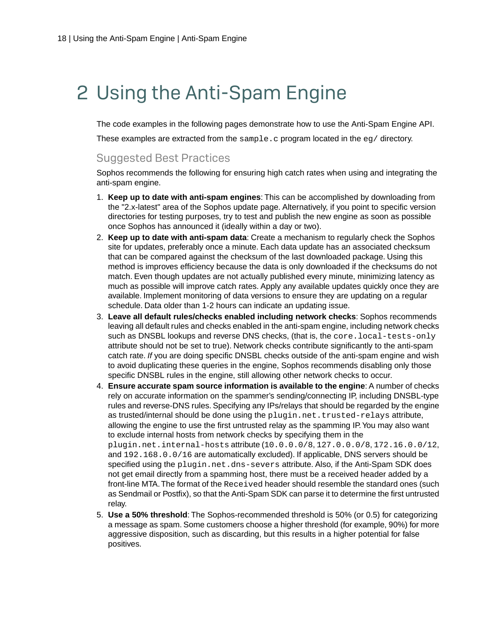# <span id="page-17-0"></span>2 Using the Anti-Spam Engine

The code examples in the following pages demonstrate how to use the Anti-Spam Engine API.

These examples are extracted from the sample.c program located in the  $eq/$  directory.

#### Suggested Best Practices

Sophos recommends the following for ensuring high catch rates when using and integrating the anti-spam engine.

- 1. **Keep up to date with anti-spam engines**: This can be accomplished by downloading from the "2.x-latest" area of the Sophos update page. Alternatively, if you point to specific version directories for testing purposes, try to test and publish the new engine as soon as possible once Sophos has announced it (ideally within a day or two).
- 2. **Keep up to date with anti-spam data**: Create a mechanism to regularly check the Sophos site for updates, preferably once a minute. Each data update has an associated checksum that can be compared against the checksum of the last downloaded package. Using this method is improves efficiency because the data is only downloaded if the checksums do not match. Even though updates are not actually published every minute, minimizing latency as much as possible will improve catch rates. Apply any available updates quickly once they are available. Implement monitoring of data versions to ensure they are updating on a regular schedule. Data older than 1-2 hours can indicate an updating issue.
- 3. **Leave all default rules/checks enabled including network checks**: Sophos recommends leaving all default rules and checks enabled in the anti-spam engine, including network checks such as DNSBL lookups and reverse DNS checks, (that is, the core. local-tests-only attribute should not be set to true). Network checks contribute significantly to the anti-spam catch rate. *If* you are doing specific DNSBL checks outside of the anti-spam engine and wish to avoid duplicating these queries in the engine, Sophos recommends disabling only those specific DNSBL rules in the engine, still allowing other network checks to occur.
- 4. **Ensure accurate spam source information is available to the engine**: A number of checks rely on accurate information on the spammer's sending/connecting IP, including DNSBL-type rules and reverse-DNS rules. Specifying any IPs/relays that should be regarded by the engine as trusted/internal should be done using the plugin.net.trusted-relays attribute, allowing the engine to use the first untrusted relay as the spamming IP.You may also want to exclude internal hosts from network checks by specifying them in the plugin.net.internal-hosts attribute (10.0.0.0/8, 127.0.0.0/8, 172.16.0.0/12, and 192.168.0.0/16 are automatically excluded). If applicable, DNS servers should be specified using the plugin.net.dns-severs attribute. Also, if the Anti-Spam SDK does not get email directly from a spamming host, there must be a received header added by a front-line MTA.The format of the Received header should resemble the standard ones (such as Sendmail or Postfix), so that the Anti-Spam SDK can parse it to determine the first untrusted relay.
- 5. **Use a 50% threshold**: The Sophos-recommended threshold is 50% (or 0.5) for categorizing a message as spam. Some customers choose a higher threshold (for example, 90%) for more aggressive disposition, such as discarding, but this results in a higher potential for false positives.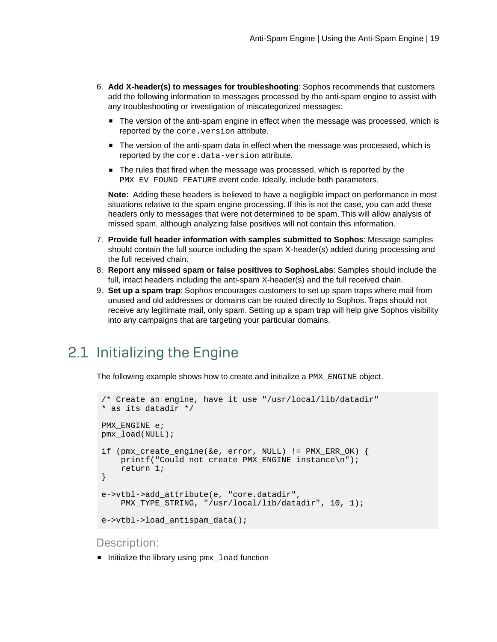- 6. **Add X-header(s) to messages for troubleshooting**: Sophos recommends that customers add the following information to messages processed by the anti-spam engine to assist with any troubleshooting or investigation of miscategorized messages:
	- The version of the anti-spam engine in effect when the message was processed, which is reported by the core. version attribute.
	- The version of the anti-spam data in effect when the message was processed, which is reported by the core.data-version attribute.
	- The rules that fired when the message was processed, which is reported by the PMX\_EV\_FOUND\_FEATURE event code. Ideally, include both parameters.

**Note:** Adding these headers is believed to have a negligible impact on performance in most situations relative to the spam engine processing. If this is not the case, you can add these headers only to messages that were not determined to be spam. This will allow analysis of missed spam, although analyzing false positives will not contain this information.

- 7. **Provide full header information with samples submitted to Sophos**: Message samples should contain the full source including the spam X-header(s) added during processing and the full received chain.
- 8. **Report any missed spam or false positives to SophosLabs**: Samples should include the full, intact headers including the anti-spam X-header(s) and the full received chain.
- 9. **Set up a spam trap**: Sophos encourages customers to set up spam traps where mail from unused and old addresses or domains can be routed directly to Sophos. Traps should not receive any legitimate mail, only spam. Setting up a spam trap will help give Sophos visibility into any campaigns that are targeting your particular domains.

### <span id="page-18-0"></span>2.1 Initializing the Engine

The following example shows how to create and initialize a PMX\_ENGINE object.

```
/* Create an engine, have it use "/usr/local/lib/datadir"
* as its datadir */
PMX_ENGINE e;
pmx_load(NULL);
if (pmx create engine(&e, error, NULL) != PMX ERR OK) {
    printf("Could not create PMX_ENGINE instance\n");
     return 1;
}
e->vtbl->add_attribute(e, "core.datadir",
     PMX_TYPE_STRING, "/usr/local/lib/datadir", 10, 1);
e->vtbl->load antispam data();
```
#### Description:

■ Initialize the library using pmx\_load function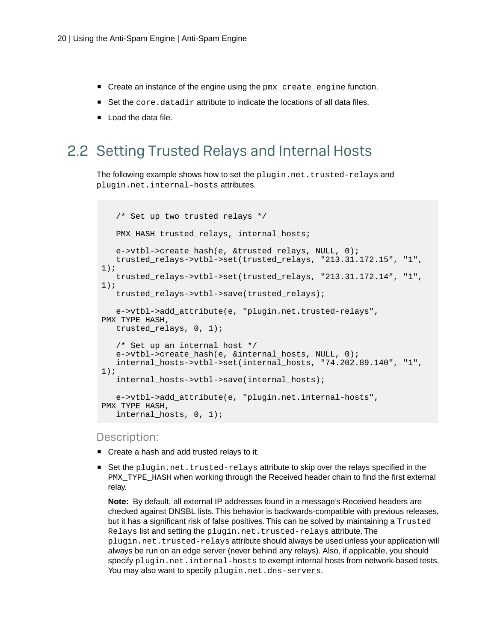- Create an instance of the engine using the pmx create engine function.
- Set the core.datadir attribute to indicate the locations of all data files.
- Load the data file.

### <span id="page-19-0"></span>2.2 Setting Trusted Relays and Internal Hosts

The following example shows how to set the plugin.net.trusted-relays and plugin.net.internal-hosts attributes.

```
 /* Set up two trusted relays */
   PMX HASH trusted relays, internal hosts;
    e->vtbl->create_hash(e, &trusted_relays, NULL, 0);
    trusted_relays->vtbl->set(trusted_relays, "213.31.172.15", "1", 
1);
    trusted_relays->vtbl->set(trusted_relays, "213.31.172.14", "1", 
1);
    trusted_relays->vtbl->save(trusted_relays);
    e->vtbl->add_attribute(e, "plugin.net.trusted-relays", 
PMX_TYPE_HASH,
  trusted relays, 0, 1);
    /* Set up an internal host */
    e->vtbl->create_hash(e, &internal_hosts, NULL, 0);
    internal_hosts->vtbl->set(internal_hosts, "74.202.89.140", "1", 
1);
    internal_hosts->vtbl->save(internal_hosts);
    e->vtbl->add_attribute(e, "plugin.net.internal-hosts", 
PMX_TYPE_HASH,
    internal_hosts, 0, 1);
```
#### Description:

- Create a hash and add trusted relays to it.
- Set the plugin.net.trusted-relays attribute to skip over the relays specified in the PMX\_TYPE\_HASH when working through the Received header chain to find the first external relay.

**Note:** By default, all external IP addresses found in a message's Received headers are checked against DNSBL lists. This behavior is backwards-compatible with previous releases, but it has a significant risk of false positives. This can be solved by maintaining a Trusted Relays list and setting the plugin.net.trusted-relays attribute. The plugin.net.trusted-relays attribute should always be used unless your application will always be run on an edge server (never behind any relays). Also, if applicable, you should specify plugin.net.internal-hosts to exempt internal hosts from network-based tests. You may also want to specify plugin.net.dns-servers.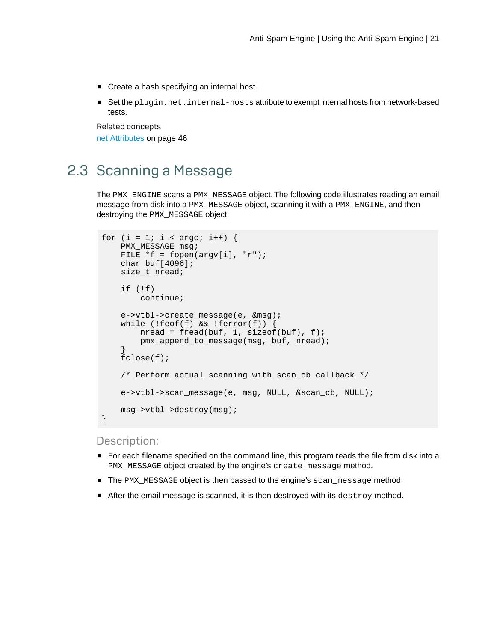■ Create a hash specifying an internal host.

■ Set the plugin.net.internal-hosts attribute to exempt internal hosts from network-based tests.

Related concepts [net Attributes](#page-45-0) on page 46

### <span id="page-20-0"></span>2.3 Scanning a Message

The PMX\_ENGINE scans a PMX\_MESSAGE object.The following code illustrates reading an email message from disk into a PMX\_MESSAGE object, scanning it with a PMX\_ENGINE, and then destroying the PMX\_MESSAGE object.

```
for (i = 1; i < argc; i++) {
   PMX MESSAGE msg;
   FILE *f = fopen(argv[i], "r");
   char buf[4096];
    size_t nread;
    if (!f) continue;
     e->vtbl->create_message(e, &msg);
    while (!feof(f) &\& !ferror(f)) {
       nread = freqd(buf, 1, sizeof(buf), f); pmx_append_to_message(msg, buf, nread);
 }
     fclose(f);
     /* Perform actual scanning with scan_cb callback */
     e->vtbl->scan_message(e, msg, NULL, &scan_cb, NULL);
     msg->vtbl->destroy(msg);
}
```
#### Description:

- For each filename specified on the command line, this program reads the file from disk into a PMX\_MESSAGE object created by the engine's create\_message method.
- The PMX\_MESSAGE object is then passed to the engine's scan\_message method.
- After the email message is scanned, it is then destroyed with its destroy method.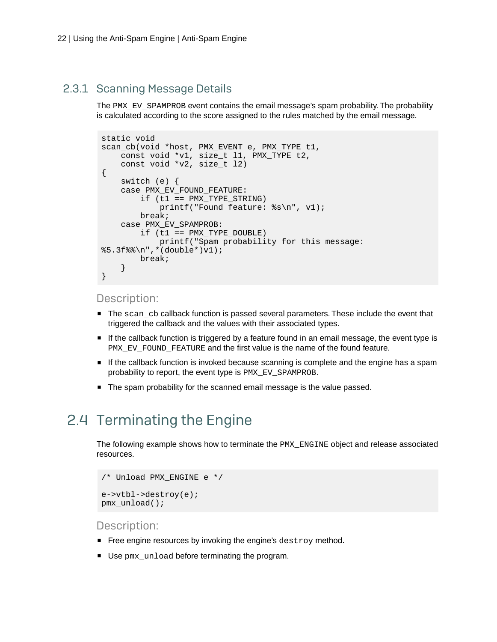#### <span id="page-21-0"></span>2.3.1 Scanning Message Details

The PMX\_EV\_SPAMPROB event contains the email message's spam probability. The probability is calculated according to the score assigned to the rules matched by the email message.

```
static void
scan_cb(void *host, PMX_EVENT e, PMX_TYPE t1,
    const void *v1, size_t l1, PMX_TYPE t2,
    const void *v2, size_t l2)
{
    switch (e) {
    case PMX_EV_FOUND_FEATURE: 
        if (t1 == PMX TYPE STRING) printf("Found feature: %s\n", v1);
         break;
     case PMX_EV_SPAMPROB:
        if (t1 == PMX TYPE DOUBLE) printf("Spam probability for this message: 
§5.3f§\n", *(double*)v1);
         break;
     }
}
```
#### Description:

- The scan\_cb callback function is passed several parameters. These include the event that triggered the callback and the values with their associated types.
- If the callback function is triggered by a feature found in an email message, the event type is PMX\_EV\_FOUND\_FEATURE and the first value is the name of the found feature.
- If the callback function is invoked because scanning is complete and the engine has a spam probability to report, the event type is PMX\_EV\_SPAMPROB.
- The spam probability for the scanned email message is the value passed.

### <span id="page-21-1"></span>2.4 Terminating the Engine

The following example shows how to terminate the PMX\_ENGINE object and release associated resources.

```
/* Unload PMX_ENGINE e */
e->vtbl->destroy(e);
pmx_unload();
```
Description:

- Free engine resources by invoking the engine's destroy method.
- Use pmx\_unload before terminating the program.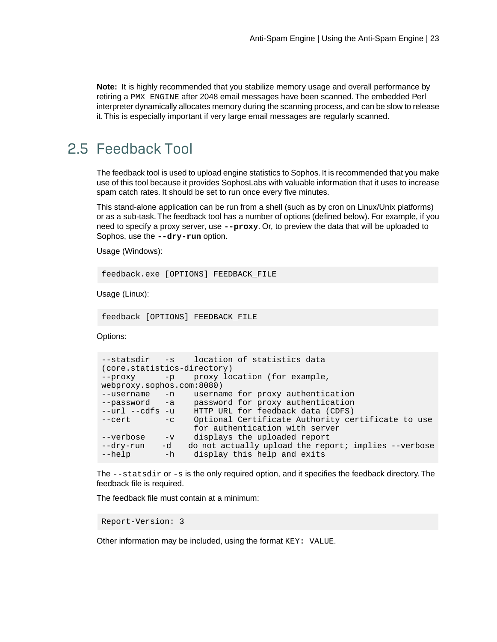**Note:** It is highly recommended that you stabilize memory usage and overall performance by retiring a PMX\_ENGINE after 2048 email messages have been scanned. The embedded Perl interpreter dynamically allocates memory during the scanning process, and can be slow to release it. This is especially important if very large email messages are regularly scanned.

### <span id="page-22-0"></span>2.5 Feedback Tool

The feedback tool is used to upload engine statistics to Sophos. It is recommended that you make use of this tool because it provides SophosLabs with valuable information that it uses to increase spam catch rates. It should be set to run once every five minutes.

This stand-alone application can be run from a shell (such as by cron on Linux/Unix platforms) or as a sub-task. The feedback tool has a number of options (defined below). For example, if you need to specify a proxy server, use **--proxy**. Or, to preview the data that will be uploaded to Sophos, use the **--dry-run** option.

Usage (Windows):

feedback.exe [OPTIONS] FEEDBACK\_FILE

Usage (Linux):

feedback [OPTIONS] FEEDBACK\_FILE

Options:

```
--statsdir -s location of statistics data 
(core.statistics-directory)
--proxy -p proxy location (for example,
webproxy.sophos.com:8080)
--username -n username for proxy authentication
--password -a password for proxy authentication
--url --cdfs -u HTTP URL for feedback data (CDFS)
--cert -c Optional Certificate Authority certificate to use
 for authentication with server
--verbose -v displays the uploaded report
--dry-run -d do not actually upload the report; implies --verbose
-help -h display this help and exits
```
The --statsdir or -s is the only required option, and it specifies the feedback directory. The feedback file is required.

The feedback file must contain at a minimum:

Report-Version: 3

Other information may be included, using the format KEY: VALUE.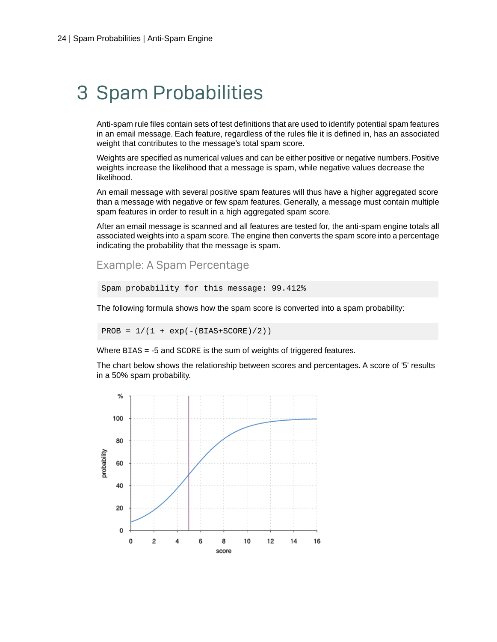# <span id="page-23-0"></span>3 Spam Probabilities

Anti-spam rule files contain sets of test definitions that are used to identify potential spam features in an email message. Each feature, regardless of the rules file it is defined in, has an associated weight that contributes to the message's total spam score.

Weights are specified as numerical values and can be either positive or negative numbers. Positive weights increase the likelihood that a message is spam, while negative values decrease the likelihood.

An email message with several positive spam features will thus have a higher aggregated score than a message with negative or few spam features. Generally, a message must contain multiple spam features in order to result in a high aggregated spam score.

After an email message is scanned and all features are tested for, the anti-spam engine totals all associated weights into a spam score.The engine then converts the spam score into a percentage indicating the probability that the message is spam.

Example: A Spam Percentage

```
Spam probability for this message: 99.412%
```
The following formula shows how the spam score is converted into a spam probability:

PROB =  $1/(1 + \exp(-(BIAS+SCORE)/2))$ 

Where BIAS = -5 and SCORE is the sum of weights of triggered features.

The chart below shows the relationship between scores and percentages. A score of '5' results in a 50% spam probability.

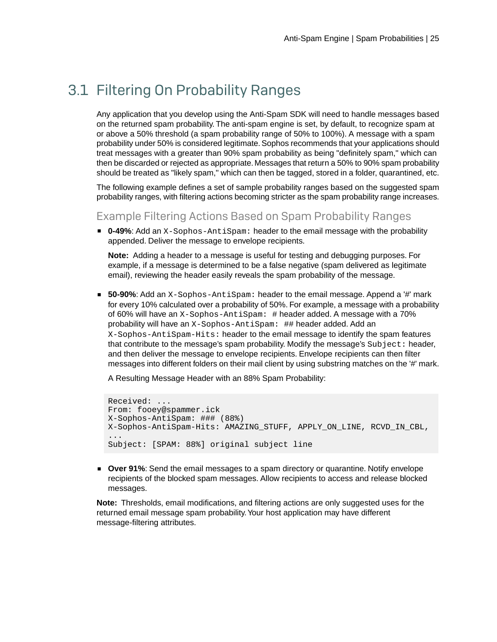### <span id="page-24-0"></span>3.1 Filtering On Probability Ranges

Any application that you develop using the Anti-Spam SDK will need to handle messages based on the returned spam probability. The anti-spam engine is set, by default, to recognize spam at or above a 50% threshold (a spam probability range of 50% to 100%). A message with a spam probability under 50% is considered legitimate.Sophos recommends that your applications should treat messages with a greater than 90% spam probability as being "definitely spam," which can then be discarded or rejected as appropriate. Messages that return a 50% to 90% spam probability should be treated as "likely spam," which can then be tagged, stored in a folder, quarantined, etc.

The following example defines a set of sample probability ranges based on the suggested spam probability ranges, with filtering actions becoming stricter as the spam probability range increases.

#### Example Filtering Actions Based on Spam Probability Ranges

■ **0-49%**: Add an X-Sophos-AntiSpam: header to the email message with the probability appended. Deliver the message to envelope recipients.

**Note:** Adding a header to a message is useful for testing and debugging purposes. For example, if a message is determined to be a false negative (spam delivered as legitimate email), reviewing the header easily reveals the spam probability of the message.

■ **50-90%**: Add an X-Sophos-AntiSpam: header to the email message. Append a '#' mark for every 10% calculated over a probability of 50%. For example, a message with a probability of 60% will have an X-Sophos-AntiSpam: # header added. A message with a 70% probability will have an X-Sophos-AntiSpam: ## header added. Add an X-Sophos-AntiSpam-Hits: header to the email message to identify the spam features that contribute to the message's spam probability. Modify the message's Subject: header, and then deliver the message to envelope recipients. Envelope recipients can then filter messages into different folders on their mail client by using substring matches on the '#' mark.

A Resulting Message Header with an 88% Spam Probability:

```
Received: ...
From: fooey@spammer.ick
X-Sophos-AntiSpam: ### (88%)
X-Sophos-AntiSpam-Hits: AMAZING_STUFF, APPLY_ON_LINE, RCVD_IN_CBL, 
...
Subject: [SPAM: 88%] original subject line
```
**Over 91%:** Send the email messages to a spam directory or quarantine. Notify envelope recipients of the blocked spam messages. Allow recipients to access and release blocked messages.

**Note:** Thresholds, email modifications, and filtering actions are only suggested uses for the returned email message spam probability.Your host application may have different message-filtering attributes.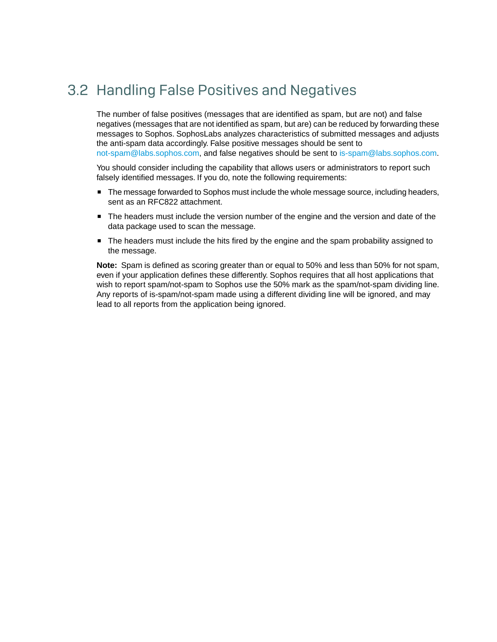### <span id="page-25-0"></span>3.2 Handling False Positives and Negatives

The number of false positives (messages that are identified as spam, but are not) and false negatives (messages that are not identified as spam, but are) can be reduced by forwarding these messages to Sophos. SophosLabs analyzes characteristics of submitted messages and adjusts the anti-spam data accordingly. False positive messages should be sent to [not-spam@labs.sophos.com,](mailto:not-spam@labs.sophos.com) and false negatives should be sent to [is-spam@labs.sophos.com](mailto:is-spam@labs.sophos.com).

You should consider including the capability that allows users or administrators to report such falsely identified messages. If you do, note the following requirements:

- The message forwarded to Sophos must include the whole message source, including headers, sent as an RFC822 attachment.
- The headers must include the version number of the engine and the version and date of the data package used to scan the message.
- The headers must include the hits fired by the engine and the spam probability assigned to the message.

**Note:** Spam is defined as scoring greater than or equal to 50% and less than 50% for not spam, even if your application defines these differently. Sophos requires that all host applications that wish to report spam/not-spam to Sophos use the 50% mark as the spam/not-spam dividing line. Any reports of is-spam/not-spam made using a different dividing line will be ignored, and may lead to all reports from the application being ignored.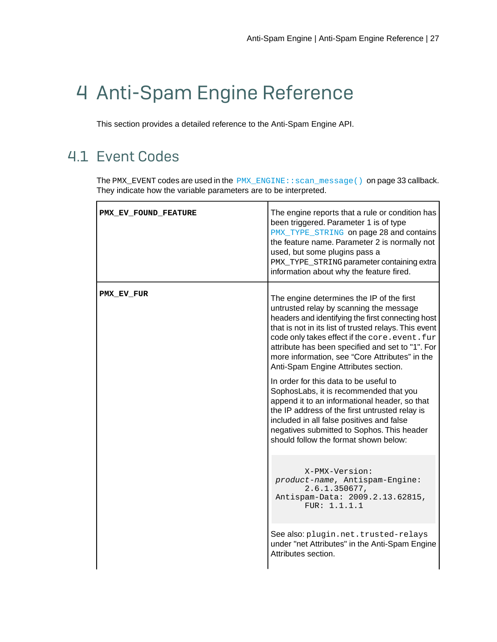# <span id="page-26-0"></span>4 Anti-Spam Engine Reference

This section provides a detailed reference to the Anti-Spam Engine API.

### <span id="page-26-1"></span>4.1 Event Codes

The PMX\_EVENT codes are used in the [PMX\\_ENGINE::scan\\_message\(\)](#page-32-0) on page 33 callback. They indicate how the variable parameters are to be interpreted.

| PMX EV FOUND FEATURE | The engine reports that a rule or condition has<br>been triggered. Parameter 1 is of type<br>PMX_TYPE_STRING on page 28 and contains<br>the feature name. Parameter 2 is normally not<br>used, but some plugins pass a<br>PMX_TYPE_STRING parameter containing extra<br>information about why the feature fired.                                                                                   |
|----------------------|----------------------------------------------------------------------------------------------------------------------------------------------------------------------------------------------------------------------------------------------------------------------------------------------------------------------------------------------------------------------------------------------------|
| PMX EV FUR           | The engine determines the IP of the first<br>untrusted relay by scanning the message<br>headers and identifying the first connecting host<br>that is not in its list of trusted relays. This event<br>code only takes effect if the core. event. fur<br>attribute has been specified and set to "1". For<br>more information, see "Core Attributes" in the<br>Anti-Spam Engine Attributes section. |
|                      | In order for this data to be useful to<br>SophosLabs, it is recommended that you<br>append it to an informational header, so that<br>the IP address of the first untrusted relay is<br>included in all false positives and false<br>negatives submitted to Sophos. This header<br>should follow the format shown below:                                                                            |
|                      | X-PMX-Version:<br>product-name, Antispam-Engine:<br>2.6.1.350677,<br>Antispam-Data: 2009.2.13.62815,<br>FUR: 1.1.1.1                                                                                                                                                                                                                                                                               |
|                      | See also: plugin.net.trusted-relays<br>under "net Attributes" in the Anti-Spam Engine<br>Attributes section.                                                                                                                                                                                                                                                                                       |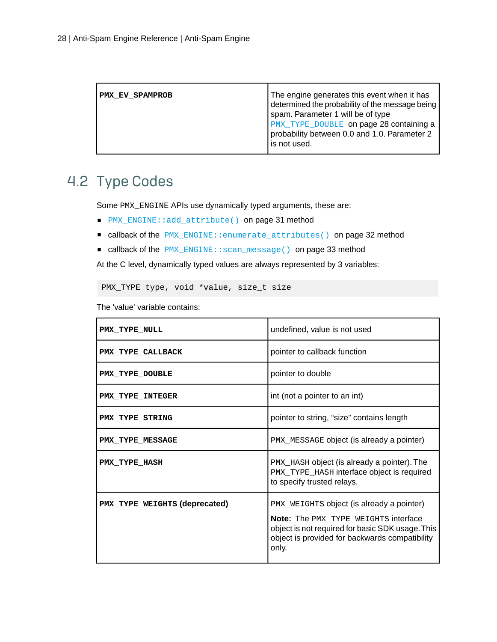| PMX EV SPAMPROB | The engine generates this event when it has<br>determined the probability of the message being<br>spam. Parameter 1 will be of type<br>PMX_TYPE_DOUBLE on page 28 containing a<br>probability between 0.0 and 1.0. Parameter 2 |
|-----------------|--------------------------------------------------------------------------------------------------------------------------------------------------------------------------------------------------------------------------------|
|                 | is not used.                                                                                                                                                                                                                   |

### <span id="page-27-0"></span>4.2 Type Codes

Some PMX\_ENGINE APIs use dynamically typed arguments, these are:

- [PMX\\_ENGINE::add\\_attribute\(\)](#page-30-1) on page 31 method
- callback of the [PMX\\_ENGINE::enumerate\\_attributes\(\)](#page-31-0) on page 32 method
- callback of the [PMX\\_ENGINE::scan\\_message\(\)](#page-32-0) on page 33 method

At the C level, dynamically typed values are always represented by 3 variables:

PMX\_TYPE type, void \*value, size\_t size

The 'value' variable contains:

<span id="page-27-6"></span><span id="page-27-5"></span><span id="page-27-4"></span><span id="page-27-3"></span><span id="page-27-2"></span><span id="page-27-1"></span>

| PMX TYPE NULL                 | undefined, value is not used                                                                                                                                                                            |
|-------------------------------|---------------------------------------------------------------------------------------------------------------------------------------------------------------------------------------------------------|
| PMX TYPE CALLBACK             | pointer to callback function                                                                                                                                                                            |
| PMX TYPE DOUBLE               | pointer to double                                                                                                                                                                                       |
| PMX TYPE INTEGER              | int (not a pointer to an int)                                                                                                                                                                           |
| PMX TYPE STRING               | pointer to string, "size" contains length                                                                                                                                                               |
| PMX TYPE MESSAGE              | PMX_MESSAGE object (is already a pointer)                                                                                                                                                               |
| PMX TYPE HASH                 | PMX_HASH object (is already a pointer). The<br>PMX_TYPE_HASH interface object is required<br>to specify trusted relays.                                                                                 |
| PMX_TYPE_WEIGHTS (deprecated) | PMX_WEIGHTS object (is already a pointer)<br><b>Note:</b> The PMX_TYPE_WEIGHTS interface<br>object is not required for basic SDK usage. This<br>object is provided for backwards compatibility<br>only. |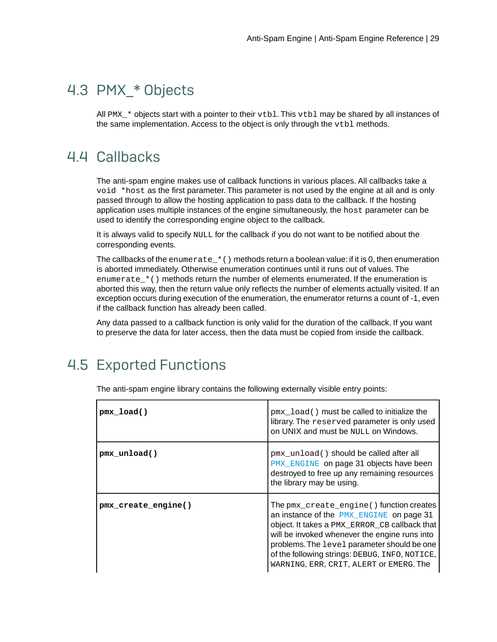### <span id="page-28-0"></span>4.3 PMX\_\* Objects

All PMX  $*$  objects start with a pointer to their vtbl. This vtbl may be shared by all instances of the same implementation. Access to the object is only through the vtbl methods.

### <span id="page-28-1"></span>4.4 Callbacks

The anti-spam engine makes use of callback functions in various places. All callbacks take a void \*host as the first parameter. This parameter is not used by the engine at all and is only passed through to allow the hosting application to pass data to the callback. If the hosting application uses multiple instances of the engine simultaneously, the host parameter can be used to identify the corresponding engine object to the callback.

It is always valid to specify NULL for the callback if you do not want to be notified about the corresponding events.

The callbacks of the enumerate\_ $*$  () methods return a boolean value: if it is 0, then enumeration is aborted immediately. Otherwise enumeration continues until it runs out of values. The enumerate\_\*() methods return the number of elements enumerated. If the enumeration is aborted this way, then the return value only reflects the number of elements actually visited. If an exception occurs during execution of the enumeration, the enumerator returns a count of -1, even if the callback function has already been called.

Any data passed to a callback function is only valid for the duration of the callback. If you want to preserve the data for later access, then the data must be copied from inside the callback.

### <span id="page-28-2"></span>4.5 Exported Functions

| pmx load()          | pmx_load() must be called to initialize the<br>library. The reserved parameter is only used<br>on UNIX and must be NULL on Windows.                                                                                                                                                                                                |
|---------------------|------------------------------------------------------------------------------------------------------------------------------------------------------------------------------------------------------------------------------------------------------------------------------------------------------------------------------------|
| pmx unload()        | pmx_unload() should be called after all<br><b>PMX_ENGINE</b> on page 31 objects have been<br>destroyed to free up any remaining resources<br>the library may be using.                                                                                                                                                             |
| pmx_create_engine() | The pmx_create_engine() function creates<br>an instance of the PMX_ENGINE on page 31<br>object. It takes a PMX_ERROR_CB callback that<br>will be invoked whenever the engine runs into<br>problems. The level parameter should be one<br>of the following strings: DEBUG, INFO, NOTICE,<br>WARNING, ERR, CRIT, ALERT OF EMERG. The |

The anti-spam engine library contains the following externally visible entry points: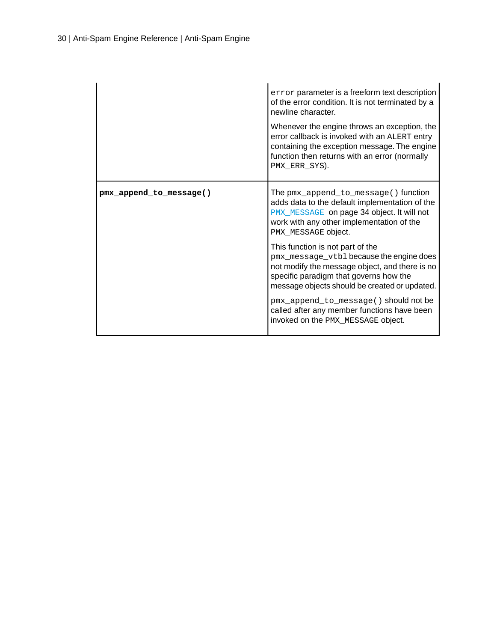<span id="page-29-0"></span>

|                         | error parameter is a freeform text description<br>of the error condition. It is not terminated by a<br>newline character.<br>Whenever the engine throws an exception, the<br>error callback is invoked with an ALERT entry<br>containing the exception message. The engine<br>function then returns with an error (normally<br>PMX_ERR_SYS). |
|-------------------------|----------------------------------------------------------------------------------------------------------------------------------------------------------------------------------------------------------------------------------------------------------------------------------------------------------------------------------------------|
| pmx_append_to_message() | The pmx_append_to_message() function<br>adds data to the default implementation of the<br>PMX_MESSAGE on page 34 object. It will not<br>work with any other implementation of the<br>PMX_MESSAGE object.                                                                                                                                     |
|                         | This function is not part of the<br>pmx_message_vtbl because the engine does<br>not modify the message object, and there is no<br>specific paradigm that governs how the<br>message objects should be created or updated.                                                                                                                    |
|                         | pmx_append_to_message() should not be<br>called after any member functions have been<br>invoked on the PMX_MESSAGE object.                                                                                                                                                                                                                   |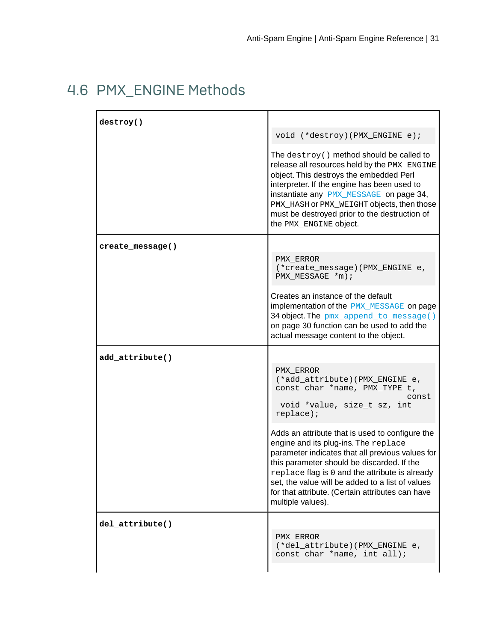### <span id="page-30-0"></span>4.6 PMX\_ENGINE Methods

<span id="page-30-2"></span><span id="page-30-1"></span>

| destroy()        |                                                                                                                                                                                                                                                                                                                                                                          |
|------------------|--------------------------------------------------------------------------------------------------------------------------------------------------------------------------------------------------------------------------------------------------------------------------------------------------------------------------------------------------------------------------|
|                  | void (*destroy) (PMX_ENGINE e) ;                                                                                                                                                                                                                                                                                                                                         |
|                  | The $\text{destroy}()$ method should be called to<br>release all resources held by the PMX_ENGINE<br>object. This destroys the embedded Perl<br>interpreter. If the engine has been used to<br>instantiate any PMX_MESSAGE on page 34,<br>PMX_HASH OF PMX_WEIGHT objects, then those<br>must be destroyed prior to the destruction of<br>the PMX_ENGINE object.          |
| create_message() |                                                                                                                                                                                                                                                                                                                                                                          |
|                  | PMX ERROR<br>(*create_message)(PMX_ENGINE e,<br>PMX MESSAGE *m) ;                                                                                                                                                                                                                                                                                                        |
|                  | Creates an instance of the default<br>implementation of the <b>PMX_MESSAGE</b> on page<br>34 object. The pmx_append_to_message()<br>on page 30 function can be used to add the<br>actual message content to the object.                                                                                                                                                  |
| add_attribute()  |                                                                                                                                                                                                                                                                                                                                                                          |
|                  | PMX ERROR<br>(*add_attribute)(PMX_ENGINE e,<br>const char *name, PMX_TYPE t,<br>const<br>void *value, size_t sz, int<br>replace);                                                                                                                                                                                                                                        |
|                  | Adds an attribute that is used to configure the<br>engine and its plug-ins. The replace<br>parameter indicates that all previous values for<br>this parameter should be discarded. If the<br>replace flag is 0 and the attribute is already<br>set, the value will be added to a list of values<br>for that attribute. (Certain attributes can have<br>multiple values). |
| del_attribute()  |                                                                                                                                                                                                                                                                                                                                                                          |
|                  | PMX ERROR<br>(*del_attribute)(PMX_ENGINE e,<br>const char *name, int all);                                                                                                                                                                                                                                                                                               |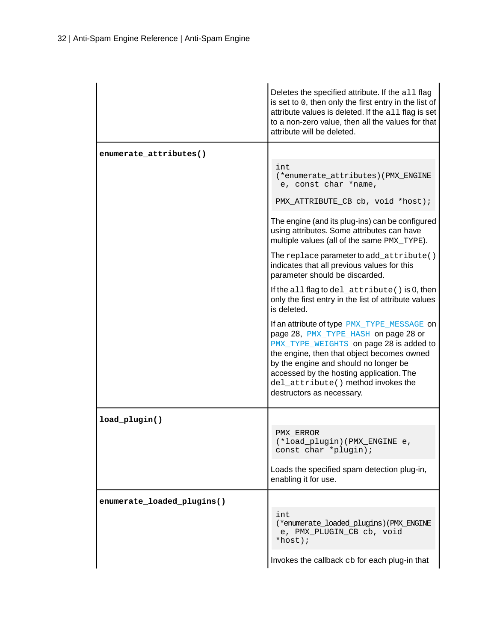<span id="page-31-0"></span>

|                            | Deletes the specified attribute. If the all flag<br>is set to 0, then only the first entry in the list of<br>attribute values is deleted. If the all flag is set<br>to a non-zero value, then all the values for that<br>attribute will be deleted.                                                                                  |
|----------------------------|--------------------------------------------------------------------------------------------------------------------------------------------------------------------------------------------------------------------------------------------------------------------------------------------------------------------------------------|
| enumerate attributes()     | int<br>(*enumerate_attributes)(PMX_ENGINE<br>e, const char *name,<br>PMX_ATTRIBUTE_CB cb, void *host);                                                                                                                                                                                                                               |
|                            | The engine (and its plug-ins) can be configured<br>using attributes. Some attributes can have<br>multiple values (all of the same PMX_TYPE).                                                                                                                                                                                         |
|                            | The replace parameter to add_attribute()<br>indicates that all previous values for this<br>parameter should be discarded.                                                                                                                                                                                                            |
|                            | If the all flag to $del\_attribute$ () is 0, then<br>only the first entry in the list of attribute values<br>is deleted.                                                                                                                                                                                                             |
|                            | If an attribute of type PMX_TYPE_MESSAGE on<br>page 28, PMX_TYPE_HASH on page 28 or<br>PMX_TYPE_WEIGHTS on page 28 is added to<br>the engine, then that object becomes owned<br>by the engine and should no longer be<br>accessed by the hosting application. The<br>del_attribute() method invokes the<br>destructors as necessary. |
| load_plugin()              |                                                                                                                                                                                                                                                                                                                                      |
|                            | PMX ERROR<br>(*load_plugin)(PMX_ENGINE e,<br>const char *plugin);                                                                                                                                                                                                                                                                    |
|                            | Loads the specified spam detection plug-in,<br>enabling it for use.                                                                                                                                                                                                                                                                  |
| enumerate_loaded_plugins() |                                                                                                                                                                                                                                                                                                                                      |
|                            | int<br>(*enumerate_loaded_plugins)(PMX_ENGINE<br>e, PMX_PLUGIN_CB cb, void<br>*host);                                                                                                                                                                                                                                                |
|                            | Invokes the callback cb for each plug-in that                                                                                                                                                                                                                                                                                        |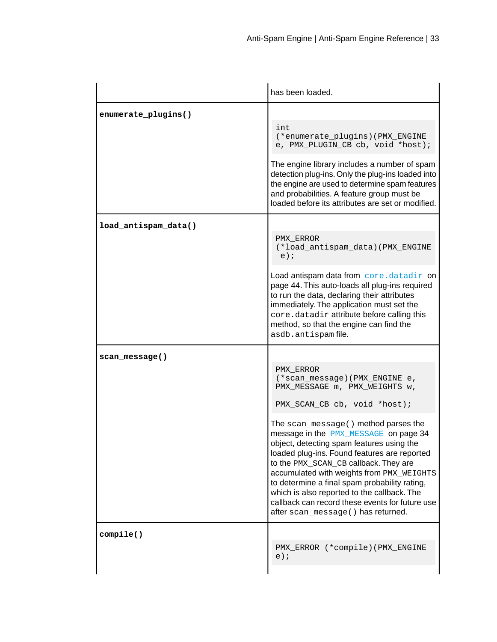<span id="page-32-1"></span><span id="page-32-0"></span>

|                      | has been loaded.                                                                                                                                                                                                                                                                                                                                                                                                                                                                                                                                                         |
|----------------------|--------------------------------------------------------------------------------------------------------------------------------------------------------------------------------------------------------------------------------------------------------------------------------------------------------------------------------------------------------------------------------------------------------------------------------------------------------------------------------------------------------------------------------------------------------------------------|
| enumerate_plugins()  | int<br>(*enumerate_plugins)(PMX_ENGINE<br>e, PMX_PLUGIN_CB cb, void *host);<br>The engine library includes a number of spam<br>detection plug-ins. Only the plug-ins loaded into<br>the engine are used to determine spam features<br>and probabilities. A feature group must be<br>loaded before its attributes are set or modified.                                                                                                                                                                                                                                    |
| load_antispam_data() | PMX ERROR<br>(*load_antispam_data)(PMX_ENGINE<br>$e)$ ;<br>Load antispam data from core.datadir on<br>page 44. This auto-loads all plug-ins required<br>to run the data, declaring their attributes<br>immediately. The application must set the<br>core.datadir attribute before calling this<br>method, so that the engine can find the<br>asdb.antispam file.                                                                                                                                                                                                         |
| scan message()       | PMX ERROR<br>(*scan_message)(PMX_ENGINE e,<br>PMX_MESSAGE m, PMX_WEIGHTS w,<br>PMX_SCAN_CB cb, void *host);<br>The scan_message() method parses the<br>message in the PMX_MESSAGE on page 34<br>object, detecting spam features using the<br>loaded plug-ins. Found features are reported<br>to the PMX_SCAN_CB callback. They are<br>accumulated with weights from PMX_WEIGHTS<br>to determine a final spam probability rating,<br>which is also reported to the callback. The<br>callback can record these events for future use<br>after scan message() has returned. |
| compile()            | PMX_ERROR (*compile)(PMX_ENGINE<br>$e)$ ;                                                                                                                                                                                                                                                                                                                                                                                                                                                                                                                                |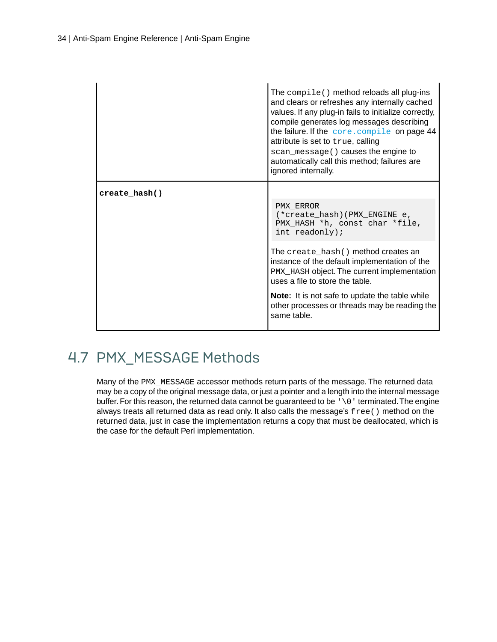|               | The $\text{compile}()$ method reloads all plug-ins<br>and clears or refreshes any internally cached<br>values. If any plug-in fails to initialize correctly,<br>compile generates log messages describing<br>the failure. If the core. compile on page 44<br>attribute is set to true, calling<br>scan_message() causes the engine to<br>automatically call this method; failures are<br>ignored internally. |
|---------------|--------------------------------------------------------------------------------------------------------------------------------------------------------------------------------------------------------------------------------------------------------------------------------------------------------------------------------------------------------------------------------------------------------------|
| create hash() |                                                                                                                                                                                                                                                                                                                                                                                                              |
|               | PMX ERROR<br>(*create_hash)(PMX_ENGINE e,<br>PMX_HASH *h, const char *file,<br>int readonly);                                                                                                                                                                                                                                                                                                                |
|               | The create_hash() method creates an<br>instance of the default implementation of the<br>PMX_HASH object. The current implementation<br>uses a file to store the table.                                                                                                                                                                                                                                       |
|               | <b>Note:</b> It is not safe to update the table while<br>other processes or threads may be reading the<br>same table.                                                                                                                                                                                                                                                                                        |

### <span id="page-33-0"></span>4.7 PMX\_MESSAGE Methods

Many of the PMX\_MESSAGE accessor methods return parts of the message. The returned data may be a copy of the original message data, or just a pointer and a length into the internal message buffer. For this reason, the returned data cannot be guaranteed to be  $\sqrt{0}$  terminated. The engine always treats all returned data as read only. It also calls the message's free() method on the returned data, just in case the implementation returns a copy that must be deallocated, which is the case for the default Perl implementation.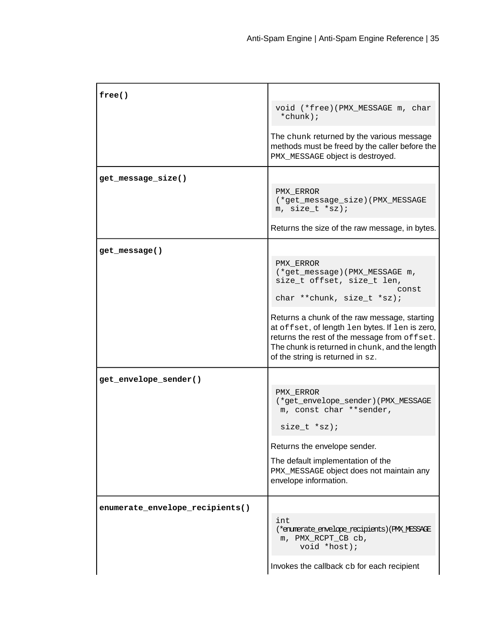<span id="page-34-1"></span><span id="page-34-0"></span>

| free()                          |                                                                                                                                                                                                                                       |
|---------------------------------|---------------------------------------------------------------------------------------------------------------------------------------------------------------------------------------------------------------------------------------|
|                                 | void (*free)(PMX_MESSAGE m, char<br>*chunk);                                                                                                                                                                                          |
|                                 | The chunk returned by the various message<br>methods must be freed by the caller before the<br>PMX_MESSAGE object is destroyed.                                                                                                       |
| get_message_size()              |                                                                                                                                                                                                                                       |
|                                 | PMX ERROR<br>(*get_message_size)(PMX_MESSAGE<br>m, $size_t * sz$ ;                                                                                                                                                                    |
|                                 | Returns the size of the raw message, in bytes.                                                                                                                                                                                        |
| get_message()                   |                                                                                                                                                                                                                                       |
|                                 | PMX ERROR<br>(*get_message)(PMX_MESSAGE m,<br>size_t offset, size_t len,<br>const<br>char **chunk, size_t *sz);                                                                                                                       |
|                                 | Returns a chunk of the raw message, starting<br>at offset, of length len bytes. If len is zero,<br>returns the rest of the message from offset.<br>The chunk is returned in chunk, and the length<br>of the string is returned in sz. |
| get_envelope_sender()           |                                                                                                                                                                                                                                       |
|                                 | PMX ERROR<br>(*get_envelope_sender)(PMX_MESSAGE<br>m, const char ** sender,<br>size $t * sz$ ;                                                                                                                                        |
|                                 | Returns the envelope sender.                                                                                                                                                                                                          |
|                                 | The default implementation of the<br>PMX_MESSAGE object does not maintain any<br>envelope information.                                                                                                                                |
| enumerate_envelope_recipients() |                                                                                                                                                                                                                                       |
|                                 | int<br>(*enumerate_envelope_recipients)(PMX_MESSAGE<br>m, PMX_RCPT_CB cb,<br>void *host);                                                                                                                                             |
|                                 | Invokes the callback cb for each recipient                                                                                                                                                                                            |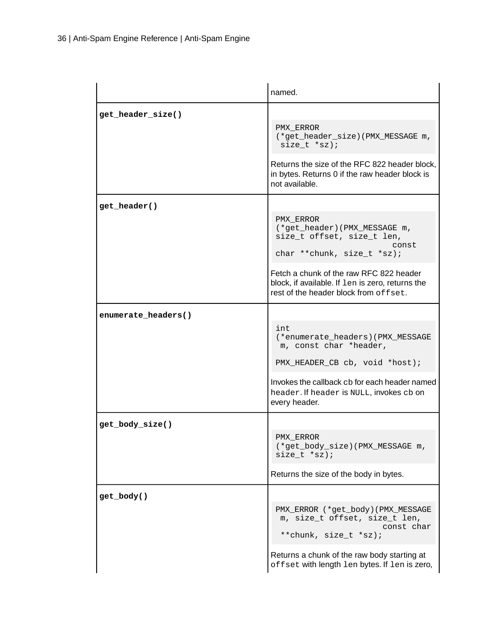|                     | named.                                                                                                                                                                                                                                                   |
|---------------------|----------------------------------------------------------------------------------------------------------------------------------------------------------------------------------------------------------------------------------------------------------|
| get header size()   | PMX ERROR<br>(*get_header_size)(PMX_MESSAGE m,<br>$size_t * sz);$<br>Returns the size of the RFC 822 header block,<br>in bytes. Returns 0 if the raw header block is<br>not available.                                                                   |
| get header()        | PMX ERROR<br>(*get_header)(PMX_MESSAGE m,<br>size_t offset, size_t len,<br>const<br>char ** chunk, size_t *sz);<br>Fetch a chunk of the raw RFC 822 header<br>block, if available. If len is zero, returns the<br>rest of the header block from of fset. |
| enumerate_headers() | int<br>(*enumerate headers) (PMX MESSAGE<br>m, const char *header,<br>PMX_HEADER_CB cb, void *host);<br>Invokes the callback cb for each header named<br>header. If header is NULL, invokes cb on<br>every header.                                       |
| get_body_size()     | PMX ERROR<br>(*get_body_size)(PMX_MESSAGE m,<br>$size_t * sz);$<br>Returns the size of the body in bytes.                                                                                                                                                |
| get_body()          | PMX_ERROR (*get_body)(PMX_MESSAGE<br>m, size_t offset, size_t len,<br>const char<br>**chunk, size_t *sz);<br>Returns a chunk of the raw body starting at<br>offset with length len bytes. If len is zero,                                                |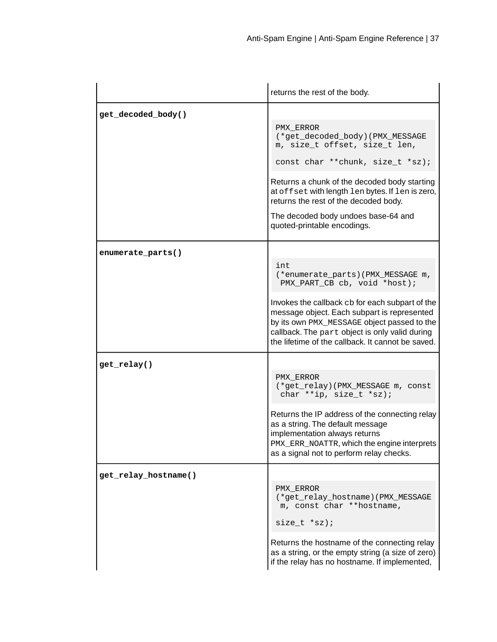<span id="page-36-2"></span><span id="page-36-1"></span><span id="page-36-0"></span>

|                      | returns the rest of the body.                                                                                                                                                                                                                                                                                                         |
|----------------------|---------------------------------------------------------------------------------------------------------------------------------------------------------------------------------------------------------------------------------------------------------------------------------------------------------------------------------------|
| get_decoded_body()   | PMX ERROR<br>(*get_decoded_body)(PMX_MESSAGE<br>m, size_t offset, size_t len,<br>const char ** chunk, size_t *sz);<br>Returns a chunk of the decoded body starting<br>at offset with length len bytes. If len is zero,<br>returns the rest of the decoded body.<br>The decoded body undoes base-64 and<br>quoted-printable encodings. |
| enumerate_parts()    | int<br>(*enumerate_parts)(PMX_MESSAGE m,<br>PMX_PART_CB cb, void *host);<br>Invokes the callback cb for each subpart of the<br>message object. Each subpart is represented<br>by its own PMX_MESSAGE object passed to the<br>callback. The part object is only valid during<br>the lifetime of the callback. It cannot be saved.      |
| get_relay()          | PMX ERROR<br>(*get_relay)(PMX_MESSAGE m, const<br>char **ip, size_t *sz);<br>Returns the IP address of the connecting relay<br>as a string. The default message<br>implementation always returns<br>PMX_ERR_NOATTR, which the engine interprets<br>as a signal not to perform relay checks.                                           |
| get_relay_hostname() | PMX ERROR<br>(*get_relay_hostname)(PMX_MESSAGE<br>m, const char **hostname,<br>size $t * sz$ ;<br>Returns the hostname of the connecting relay<br>as a string, or the empty string (a size of zero)<br>if the relay has no hostname. If implemented,                                                                                  |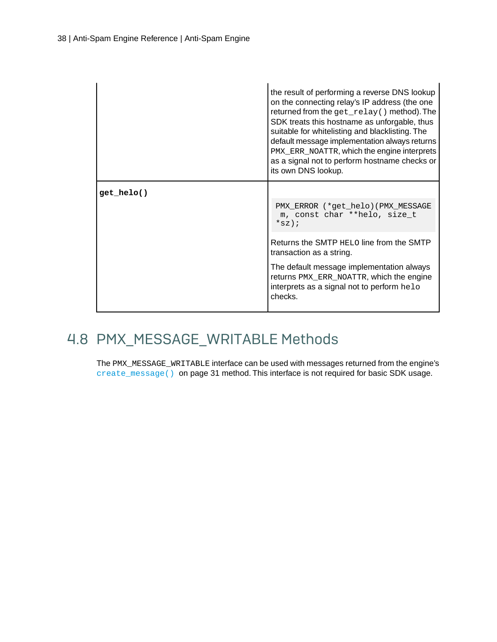<span id="page-37-1"></span>

|            | the result of performing a reverse DNS lookup<br>on the connecting relay's IP address (the one<br>returned from the get_relay() method). The<br>SDK treats this hostname as unforgable, thus<br>suitable for whitelisting and blacklisting. The<br>default message implementation always returns<br>PMX_ERR_NOATTR, which the engine interprets<br>as a signal not to perform hostname checks or<br>its own DNS lookup. |
|------------|-------------------------------------------------------------------------------------------------------------------------------------------------------------------------------------------------------------------------------------------------------------------------------------------------------------------------------------------------------------------------------------------------------------------------|
| get helo() |                                                                                                                                                                                                                                                                                                                                                                                                                         |
|            | PMX ERROR (* get helo) (PMX MESSAGE<br>m, const char **helo, size_t<br>$*_{SZ}$ ;                                                                                                                                                                                                                                                                                                                                       |
|            | Returns the SMTP HELO line from the SMTP<br>transaction as a string.                                                                                                                                                                                                                                                                                                                                                    |
|            | The default message implementation always<br>returns PMX_ERR_NOATTR, which the engine<br>interprets as a signal not to perform helo<br>checks.                                                                                                                                                                                                                                                                          |

### <span id="page-37-0"></span>4.8 PMX\_MESSAGE\_WRITABLE Methods

The PMX\_MESSAGE\_WRITABLE interface can be used with messages returned from the engine's [create\\_message\(\)](#page-30-2) on page 31 method. This interface is not required for basic SDK usage.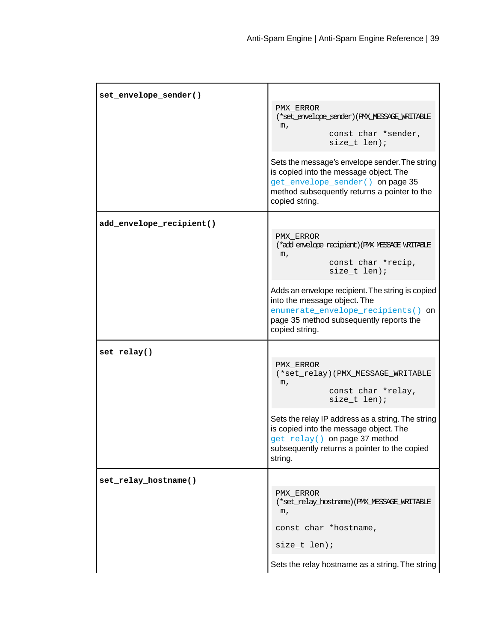| set_envelope_sender()    |                                                                                                                                                                                                |
|--------------------------|------------------------------------------------------------------------------------------------------------------------------------------------------------------------------------------------|
|                          | PMX ERROR<br>(*set_envelope_sender)(PMX_MESSAGE_WRITABLE<br>m <sub>l</sub><br>const char *sender,<br>size_t len);                                                                              |
|                          | Sets the message's envelope sender. The string<br>is copied into the message object. The<br>get_envelope_sender() on page 35<br>method subsequently returns a pointer to the<br>copied string. |
| add_envelope_recipient() |                                                                                                                                                                                                |
|                          | PMX ERROR<br>(*add_envelope_recipient) (PMX_MESSAGE_WRITABLE<br>m <sub>l</sub><br>const char *recip,<br>size t len);                                                                           |
|                          | Adds an envelope recipient. The string is copied<br>into the message object. The<br>enumerate_envelope_recipients() on<br>page 35 method subsequently reports the<br>copied string.            |
| set_relay()              |                                                                                                                                                                                                |
|                          | PMX ERROR<br>(*set_relay)(PMX_MESSAGE_WRITABLE<br>m <sub>l</sub><br>const char *relay,<br>size_t len);                                                                                         |
|                          | Sets the relay IP address as a string. The string<br>is copied into the message object. The<br>get_relay() on page 37 method<br>subsequently returns a pointer to the copied<br>string.        |
| set_relay_hostname()     |                                                                                                                                                                                                |
|                          | PMX ERROR<br>(*set_relay_hostname)(PMX_MESSAGE_WRITABLE<br>m,                                                                                                                                  |
|                          | const char *hostname,                                                                                                                                                                          |
|                          | size_t len);                                                                                                                                                                                   |
|                          | Sets the relay hostname as a string. The string                                                                                                                                                |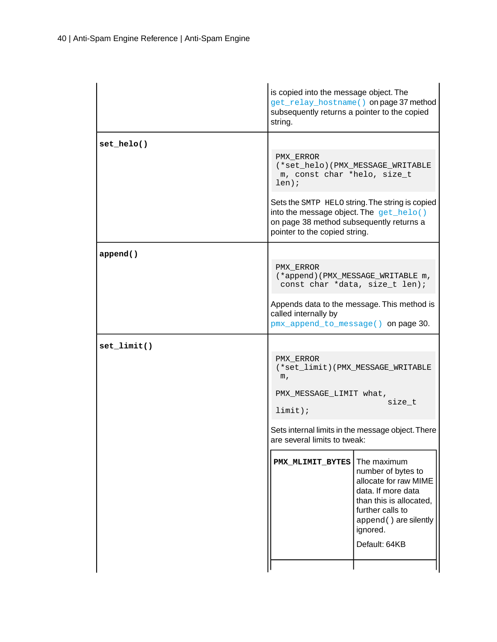|                | is copied into the message object. The<br>get_relay_hostname() on page 37 method<br>subsequently returns a pointer to the copied<br>string.                                                                                                                                    |
|----------------|--------------------------------------------------------------------------------------------------------------------------------------------------------------------------------------------------------------------------------------------------------------------------------|
| $set_{helo()}$ | PMX_ERROR<br>(*set_helo)(PMX_MESSAGE_WRITABLE<br>m, const char *helo, size_t<br>$len)$ ;<br>Sets the SMTP HELO string. The string is copied<br>into the message object. The $get_{\text{helo(}})$<br>on page 38 method subsequently returns a<br>pointer to the copied string. |
| append()       | PMX ERROR<br>(*append) (PMX_MESSAGE_WRITABLE m,<br>const char *data, size_t len);<br>Appends data to the message. This method is<br>called internally by<br>pmx_append_to_message() on page 30.                                                                                |
| $set$ limit()  | PMX ERROR<br>(*set_limit)(PMX_MESSAGE_WRITABLE<br>m,<br>PMX_MESSAGE_LIMIT what,<br>size_t<br>$limit$ );<br>Sets internal limits in the message object. There<br>are several limits to tweak:                                                                                   |
|                | The maximum<br>PMX_MLIMIT_BYTES<br>number of bytes to<br>allocate for raw MIME<br>data. If more data<br>than this is allocated.<br>further calls to<br>append () are silently<br>ignored.<br>Default: 64KB                                                                     |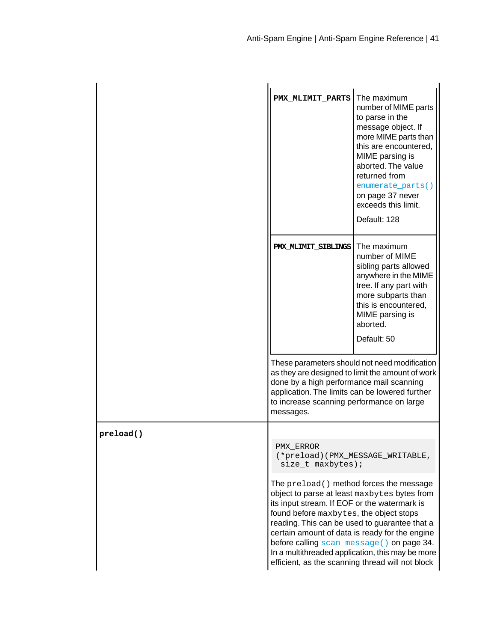|           | PMX MLIMIT PARTS                                                                                                                                                                                                                                                                                                                           | The maximum<br>number of MIME parts<br>to parse in the<br>message object. If<br>more MIME parts than<br>this are encountered,<br>MIME parsing is<br>aborted. The value<br>returned from<br>enumerate_parts()<br>on page 37 never<br>exceeds this limit.<br>Default: 128 |
|-----------|--------------------------------------------------------------------------------------------------------------------------------------------------------------------------------------------------------------------------------------------------------------------------------------------------------------------------------------------|-------------------------------------------------------------------------------------------------------------------------------------------------------------------------------------------------------------------------------------------------------------------------|
|           | PMX MLIMIT SIBLINGS                                                                                                                                                                                                                                                                                                                        | The maximum<br>number of MIME<br>sibling parts allowed<br>anywhere in the MIME<br>tree. If any part with<br>more subparts than<br>this is encountered,<br>MIME parsing is<br>aborted.<br>Default: 50                                                                    |
|           | done by a high performance mail scanning<br>application. The limits can be lowered further<br>to increase scanning performance on large<br>messages.                                                                                                                                                                                       | These parameters should not need modification<br>as they are designed to limit the amount of work                                                                                                                                                                       |
| preload() |                                                                                                                                                                                                                                                                                                                                            |                                                                                                                                                                                                                                                                         |
|           | PMX ERROR<br>size_t maxbytes);                                                                                                                                                                                                                                                                                                             | (*preload) (PMX_MESSAGE_WRITABLE,                                                                                                                                                                                                                                       |
|           | The preload () method forces the message<br>object to parse at least maxbytes bytes from<br>its input stream. If EOF or the watermark is<br>found before maxbytes, the object stops<br>reading. This can be used to guarantee that a<br>certain amount of data is ready for the engine<br>In a multithreaded application, this may be more | before calling scan_message() on page 34.<br>efficient, as the scanning thread will not block                                                                                                                                                                           |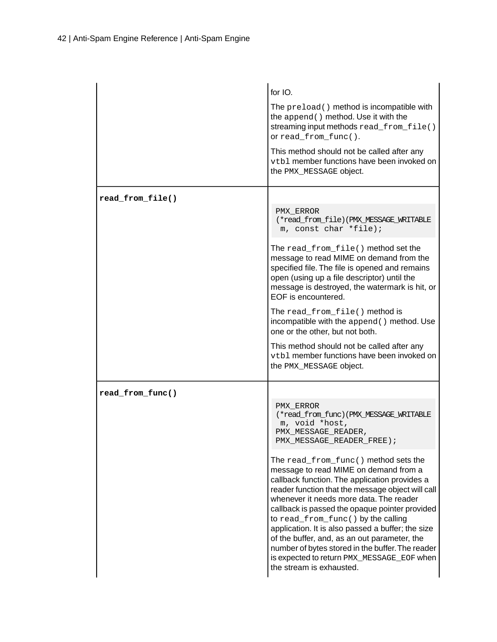|                  | for IO.<br>The preload () method is incompatible with<br>the append () method. Use it with the<br>streaming input methods read_from_file()<br>or read_from_func().<br>This method should not be called after any<br>vtb1 member functions have been invoked on<br>the PMX_MESSAGE object.                                                                                                                                                                                                                                                                                                                                                                                              |
|------------------|----------------------------------------------------------------------------------------------------------------------------------------------------------------------------------------------------------------------------------------------------------------------------------------------------------------------------------------------------------------------------------------------------------------------------------------------------------------------------------------------------------------------------------------------------------------------------------------------------------------------------------------------------------------------------------------|
| read_from_file() | PMX ERROR<br>(*read_from_file)(PMX_MESSAGE_WRITABLE<br>m, const char *file);<br>The read from file() method set the<br>message to read MIME on demand from the<br>specified file. The file is opened and remains<br>open (using up a file descriptor) until the<br>message is destroyed, the watermark is hit, or<br>EOF is encountered.<br>The read_from_file() method is<br>incompatible with the append () method. Use<br>one or the other, but not both.<br>This method should not be called after any<br>vtb1 member functions have been invoked on<br>the PMX_MESSAGE object.                                                                                                    |
| read_from_func() | PMX ERROR<br>(*read_from_func)(PMX_MESSAGE_WRITABLE<br>m, void *host,<br>PMX_MESSAGE_READER,<br>PMX_MESSAGE_READER_FREE);<br>The read_from_func() method sets the<br>message to read MIME on demand from a<br>callback function. The application provides a<br>reader function that the message object will call<br>whenever it needs more data. The reader<br>callback is passed the opaque pointer provided<br>to read_from_func() by the calling<br>application. It is also passed a buffer; the size<br>of the buffer, and, as an out parameter, the<br>number of bytes stored in the buffer. The reader<br>is expected to return PMX_MESSAGE_EOF when<br>the stream is exhausted. |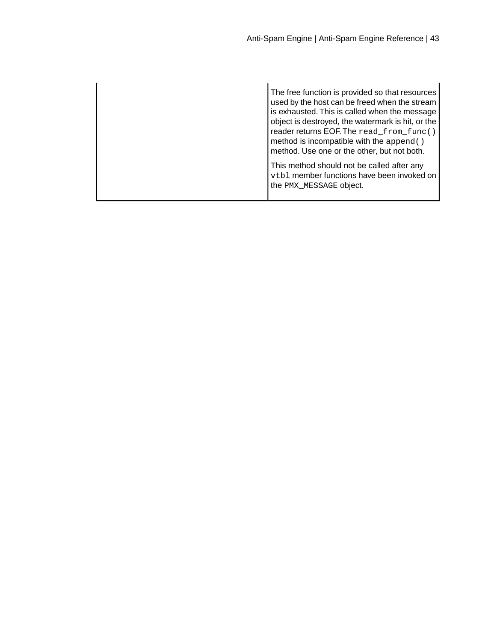The free function is provided so that resources used by the host can be freed when the stream is exhausted. This is called when the message object is destroyed, the watermark is hit, or the reader returns EOF.The read\_from\_func() method is incompatible with the append() method. Use one or the other, but not both. This method should not be called after any

vtbl member functions have been invoked on the PMX\_MESSAGE object.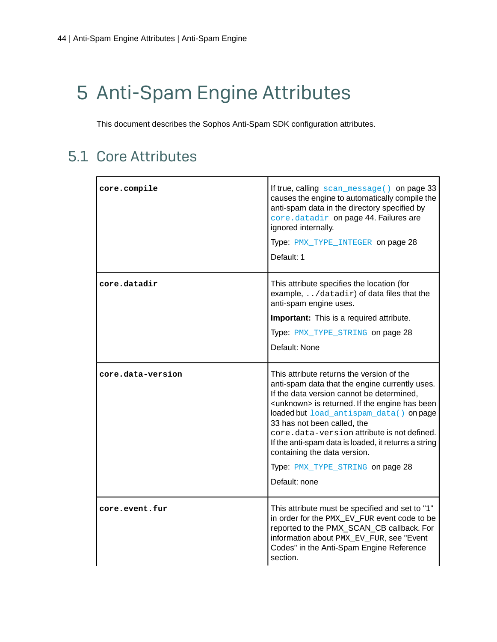# <span id="page-43-0"></span>5 Anti-Spam Engine Attributes

This document describes the Sophos Anti-Spam SDK configuration attributes.

### <span id="page-43-1"></span>5.1 Core Attributes

<span id="page-43-3"></span><span id="page-43-2"></span>

| core.compile      | If true, calling scan_message() on page 33<br>causes the engine to automatically compile the<br>anti-spam data in the directory specified by<br>core.datadir on page 44. Failures are<br>ignored internally.<br>Type: PMX_TYPE_INTEGER on page 28<br>Default: 1                                                                                                                                                                                                                  |
|-------------------|----------------------------------------------------------------------------------------------------------------------------------------------------------------------------------------------------------------------------------------------------------------------------------------------------------------------------------------------------------------------------------------------------------------------------------------------------------------------------------|
| core.datadir      | This attribute specifies the location (for<br>example, /datadir) of data files that the<br>anti-spam engine uses.<br>Important: This is a required attribute.<br>Type: PMX_TYPE_STRING on page 28<br>Default: None                                                                                                                                                                                                                                                               |
| core.data-version | This attribute returns the version of the<br>anti-spam data that the engine currently uses.<br>If the data version cannot be determined,<br><unknown> is returned. If the engine has been<br/>loaded but load_antispam_data() on page<br/>33 has not been called, the<br/>core.data-version attribute is not defined.<br/>If the anti-spam data is loaded, it returns a string<br/>containing the data version.<br/>Type: PMX_TYPE_STRING on page 28<br/>Default: none</unknown> |
| core.event.fur    | This attribute must be specified and set to "1"<br>in order for the PMX_EV_FUR event code to be<br>reported to the PMX_SCAN_CB callback. For<br>information about PMX EV FUR, see "Event<br>Codes" in the Anti-Spam Engine Reference<br>section.                                                                                                                                                                                                                                 |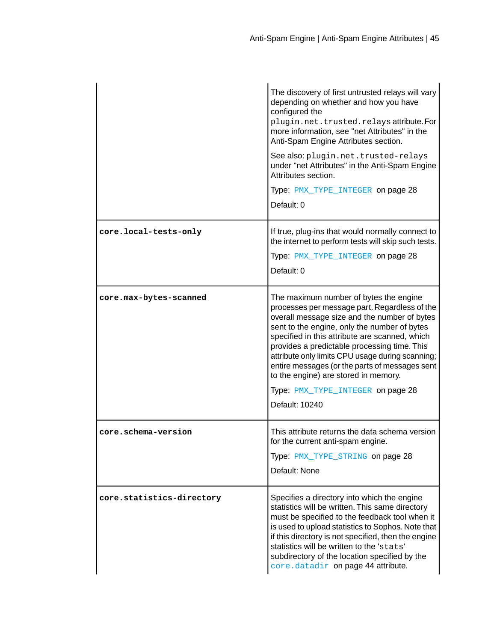|                           | The discovery of first untrusted relays will vary<br>depending on whether and how you have<br>configured the<br>plugin.net.trusted.relaysattribute.For<br>more information, see "net Attributes" in the<br>Anti-Spam Engine Attributes section.<br>See also: plugin.net.trusted-relays<br>under "net Attributes" in the Anti-Spam Engine<br>Attributes section.<br>Type: PMX_TYPE_INTEGER on page 28<br>Default: 0                                                                             |
|---------------------------|------------------------------------------------------------------------------------------------------------------------------------------------------------------------------------------------------------------------------------------------------------------------------------------------------------------------------------------------------------------------------------------------------------------------------------------------------------------------------------------------|
| core.local-tests-only     | If true, plug-ins that would normally connect to<br>the internet to perform tests will skip such tests.<br>Type: PMX_TYPE_INTEGER on page 28<br>Default: 0                                                                                                                                                                                                                                                                                                                                     |
| core.max-bytes-scanned    | The maximum number of bytes the engine<br>processes per message part. Regardless of the<br>overall message size and the number of bytes<br>sent to the engine, only the number of bytes<br>specified in this attribute are scanned, which<br>provides a predictable processing time. This<br>attribute only limits CPU usage during scanning;<br>entire messages (or the parts of messages sent<br>to the engine) are stored in memory.<br>Type: PMX_TYPE_INTEGER on page 28<br>Default: 10240 |
| core.schema-version       | This attribute returns the data schema version<br>for the current anti-spam engine.<br>Type: PMX_TYPE_STRING on page 28<br>Default: None                                                                                                                                                                                                                                                                                                                                                       |
| core.statistics-directory | Specifies a directory into which the engine<br>statistics will be written. This same directory<br>must be specified to the feedback tool when it<br>is used to upload statistics to Sophos. Note that<br>if this directory is not specified, then the engine<br>statistics will be written to the 'stats'<br>subdirectory of the location specified by the<br>core.datadir on page 44 attribute.                                                                                               |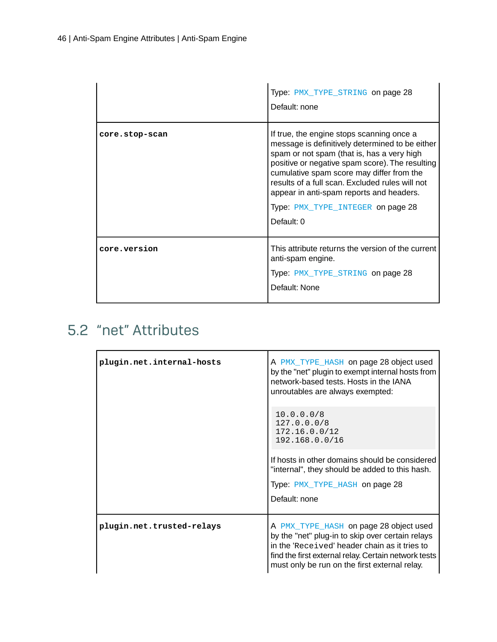|                | Type: PMX_TYPE_STRING on page 28<br>Default: none                                                                                                                                                                                                                                                                                                                                            |
|----------------|----------------------------------------------------------------------------------------------------------------------------------------------------------------------------------------------------------------------------------------------------------------------------------------------------------------------------------------------------------------------------------------------|
| core.stop-scan | If true, the engine stops scanning once a<br>message is definitively determined to be either<br>spam or not spam (that is, has a very high<br>positive or negative spam score). The resulting<br>cumulative spam score may differ from the<br>results of a full scan. Excluded rules will not<br>appear in anti-spam reports and headers.<br>Type: PMX_TYPE_INTEGER on page 28<br>Default: 0 |
| core.version   | This attribute returns the version of the current<br>anti-spam engine.<br>Type: PMX_TYPE_STRING on page 28<br>Default: None                                                                                                                                                                                                                                                                  |

### <span id="page-45-0"></span>5.2 "net" Attributes

<span id="page-45-1"></span>

| plugin.net.internal-hosts | A PMX_TYPE_HASH on page 28 object used<br>by the "net" plugin to exempt internal hosts from<br>network-based tests. Hosts in the IANA<br>unroutables are always exempted:                                                                            |
|---------------------------|------------------------------------------------------------------------------------------------------------------------------------------------------------------------------------------------------------------------------------------------------|
|                           | 10.0.0.0/8<br>127.0.0.0/8<br>172.16.0.0/12<br>192.168.0.0/16                                                                                                                                                                                         |
|                           | If hosts in other domains should be considered<br>"internal", they should be added to this hash.                                                                                                                                                     |
|                           | Type: PMX_TYPE_HASH on page 28                                                                                                                                                                                                                       |
|                           | Default: none                                                                                                                                                                                                                                        |
| plugin.net.trusted-relays | A PMX_TYPE_HASH on page 28 object used<br>by the "net" plug-in to skip over certain relays<br>in the 'Received' header chain as it tries to<br>find the first external relay. Certain network tests<br>must only be run on the first external relay. |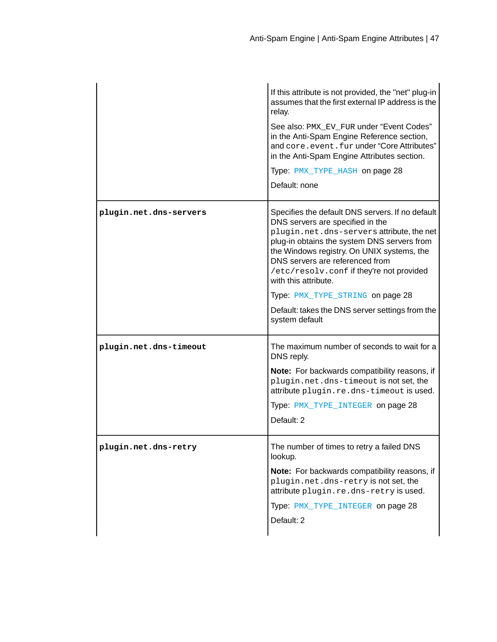|                        | If this attribute is not provided, the "net" plug-in<br>assumes that the first external IP address is the<br>relay.<br>See also: PMX_EV_FUR under "Event Codes"<br>in the Anti-Spam Engine Reference section,<br>and core.event.fur under "Core Attributes"<br>in the Anti-Spam Engine Attributes section.<br>Type: PMX_TYPE_HASH on page 28<br>Default: none                                                                                 |
|------------------------|-----------------------------------------------------------------------------------------------------------------------------------------------------------------------------------------------------------------------------------------------------------------------------------------------------------------------------------------------------------------------------------------------------------------------------------------------|
| plugin.net.dns-servers | Specifies the default DNS servers. If no default<br>DNS servers are specified in the<br>plugin.net.dns-serversattribute, the net<br>plug-in obtains the system DNS servers from<br>the Windows registry. On UNIX systems, the<br>DNS servers are referenced from<br>/etc/resolv.conf if they're not provided<br>with this attribute.<br>Type: PMX_TYPE_STRING on page 28<br>Default: takes the DNS server settings from the<br>system default |
| plugin.net.dns-timeout | The maximum number of seconds to wait for a<br>DNS reply.<br>Note: For backwards compatibility reasons, if<br>plugin.net.dns-timeout is not set, the<br>attribute plugin.re.dns-timeout is used.<br>Type: PMX_TYPE_INTEGER on page 28<br>Default: 2                                                                                                                                                                                           |
| plugin.net.dns-retry   | The number of times to retry a failed DNS<br>lookup.<br>Note: For backwards compatibility reasons, if<br>plugin.net.dns-retry is not set, the<br>attribute plugin.re.dns-retry is used.<br>Type: PMX_TYPE_INTEGER on page 28<br>Default: 2                                                                                                                                                                                                    |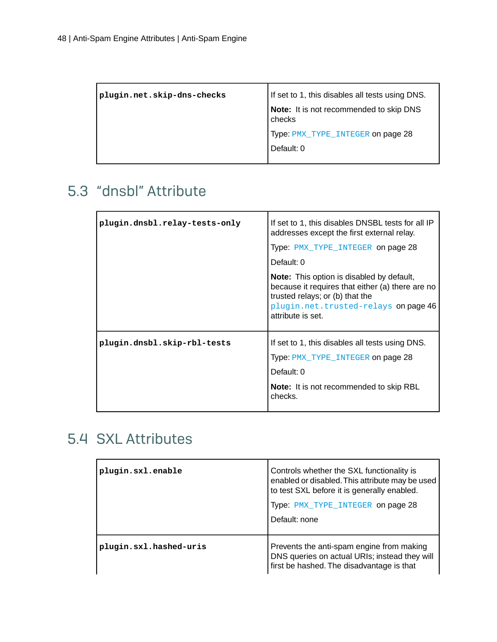| plugin.net.skip-dns-checks | If set to 1, this disables all tests using DNS.   |
|----------------------------|---------------------------------------------------|
|                            | Note: It is not recommended to skip DNS<br>checks |
|                            | Type: PMX_TYPE_INTEGER on page 28                 |
|                            | Default: 0                                        |
|                            |                                                   |

### <span id="page-47-0"></span>5.3 "dnsbl" Attribute

| plugin.dnsbl.relay-tests-only | If set to 1, this disables DNSBL tests for all IP<br>addresses except the first external relay.                                                                                                      |
|-------------------------------|------------------------------------------------------------------------------------------------------------------------------------------------------------------------------------------------------|
|                               | Type: PMX_TYPE_INTEGER on page 28                                                                                                                                                                    |
|                               | Default: 0                                                                                                                                                                                           |
|                               | <b>Note:</b> This option is disabled by default,<br>because it requires that either (a) there are no<br>trusted relays; or (b) that the<br>plugin.net.trusted-relays on page 46<br>attribute is set. |
| plugin.dnsbl.skip-rbl-tests   | If set to 1, this disables all tests using DNS.                                                                                                                                                      |
|                               | Type: PMX_TYPE_INTEGER on page 28                                                                                                                                                                    |
|                               | Default: 0                                                                                                                                                                                           |
|                               | <b>Note:</b> It is not recommended to skip RBL<br>checks.                                                                                                                                            |

### <span id="page-47-1"></span>5.4 SXL Attributes

| plugin.sxl.enable      | Controls whether the SXL functionality is<br>enabled or disabled. This attribute may be used<br>to test SXL before it is generally enabled.<br>Type: PMX_TYPE_INTEGER on page 28<br>Default: none |
|------------------------|---------------------------------------------------------------------------------------------------------------------------------------------------------------------------------------------------|
| plugin.sxl.hashed-uris | Prevents the anti-spam engine from making<br>DNS queries on actual URIs; instead they will<br>first be hashed. The disadvantage is that                                                           |